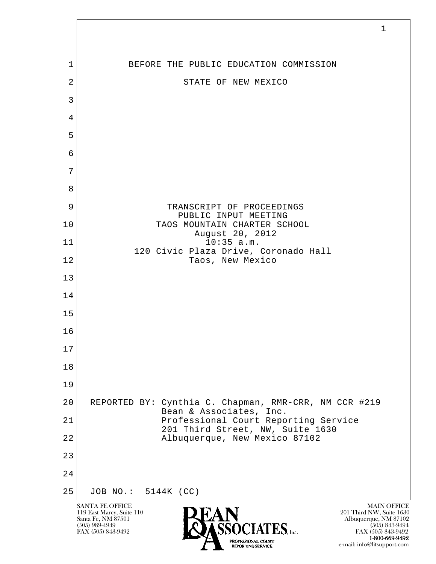| $\mathbf 1$    | BEFORE THE PUBLIC EDUCATION COMMISSION                                           |
|----------------|----------------------------------------------------------------------------------|
| $\overline{2}$ | STATE OF NEW MEXICO                                                              |
| $\mathfrak{Z}$ |                                                                                  |
| 4              |                                                                                  |
| 5              |                                                                                  |
| 6              |                                                                                  |
| 7              |                                                                                  |
| 8              |                                                                                  |
| 9              | TRANSCRIPT OF PROCEEDINGS<br>PUBLIC INPUT MEETING                                |
| 10             | TAOS MOUNTAIN CHARTER SCHOOL<br>August 20, 2012                                  |
| 11             | $10:35$ a.m.<br>120 Civic Plaza Drive, Coronado Hall                             |
| 12             | Taos, New Mexico                                                                 |
| 13             |                                                                                  |
| 14             |                                                                                  |
| 15             |                                                                                  |
| 16             |                                                                                  |
| $17$           |                                                                                  |
| 18             |                                                                                  |
| 19             |                                                                                  |
| 20             | REPORTED BY: Cynthia C. Chapman, RMR-CRR, NM CCR #219<br>Bean & Associates, Inc. |
| 21             | Professional Court Reporting Service<br>201 Third Street, NW, Suite 1630         |
| 22             | Albuquerque, New Mexico 87102                                                    |
| 23             |                                                                                  |
| 24             |                                                                                  |
| 25             | JOB NO.: 5144K (CC)                                                              |

 $\sqrt{ }$ 

**1-800-669-9492**<br> **EXALTERIONAL CN BT** e-mail: info@litsupport.com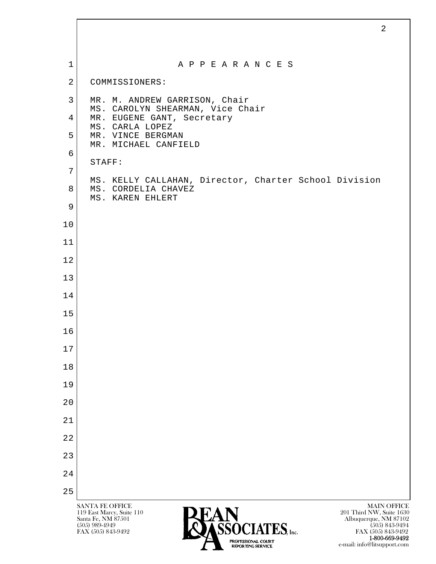| $\mathbf 1$    | A P P E A R A N C E S                                             |
|----------------|-------------------------------------------------------------------|
| $\overline{2}$ | COMMISSIONERS:                                                    |
| 3              | MR. M. ANDREW GARRISON, Chair<br>MS. CAROLYN SHEARMAN, Vice Chair |
| $\overline{4}$ | MR. EUGENE GANT, Secretary<br>MS. CARLA LOPEZ                     |
| 5              | MR. VINCE BERGMAN<br>MR. MICHAEL CANFIELD                         |
| 6              | STAFF:                                                            |
| 7              | MS. KELLY CALLAHAN, Director, Charter School Division             |
| 8              | MS. CORDELIA CHAVEZ<br>MS. KAREN EHLERT                           |
| 9              |                                                                   |
| 10             |                                                                   |
| 11             |                                                                   |
| 12             |                                                                   |
| 13             |                                                                   |
| 14             |                                                                   |
| 15             |                                                                   |
| 16             |                                                                   |
| $17$           |                                                                   |
| 18             |                                                                   |
| 19             |                                                                   |
| 20             |                                                                   |
| 21             |                                                                   |
| 22             |                                                                   |
| 23             |                                                                   |
| 24             |                                                                   |
| 25             |                                                                   |

**<sup>1-800-669-9492</sup>**<br> **EXALTERIONAL CN BT** e-mail: info@litsupport.com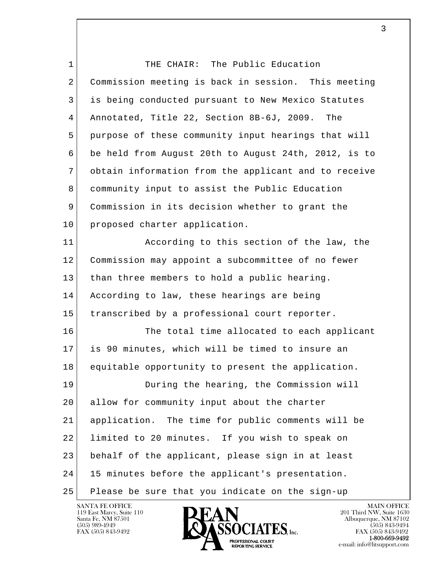l  $\overline{\phantom{a}}$ 1 THE CHAIR: The Public Education 2 Commission meeting is back in session. This meeting 3 is being conducted pursuant to New Mexico Statutes 4 Annotated, Title 22, Section 8B-6J, 2009. The 5 purpose of these community input hearings that will 6 be held from August 20th to August 24th, 2012, is to 7 obtain information from the applicant and to receive 8 community input to assist the Public Education 9 Commission in its decision whether to grant the 10 proposed charter application. 11 According to this section of the law, the 12 Commission may appoint a subcommittee of no fewer 13 than three members to hold a public hearing. 14 According to law, these hearings are being 15 transcribed by a professional court reporter. 16 The total time allocated to each applicant 17 is 90 minutes, which will be timed to insure an 18 equitable opportunity to present the application. 19 During the hearing, the Commission will 20 allow for community input about the charter 21 application. The time for public comments will be 22 limited to 20 minutes. If you wish to speak on 23 behalf of the applicant, please sign in at least 24 15 minutes before the applicant's presentation. 25 Please be sure that you indicate on the sign-up

119 East Marcy, Suite 110<br>Santa Fe, NM 87501

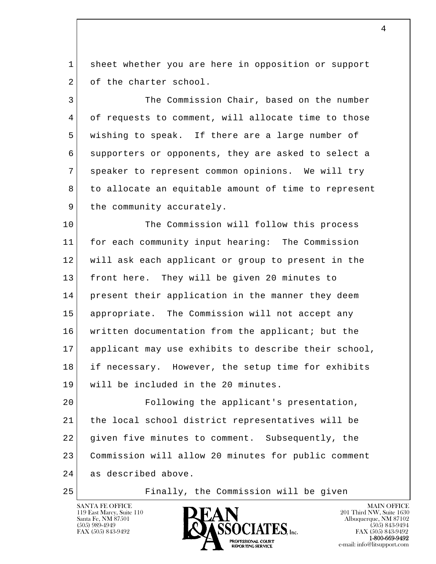1 sheet whether you are here in opposition or support 2 of the charter school.

3 The Commission Chair, based on the number 4 of requests to comment, will allocate time to those 5 wishing to speak. If there are a large number of 6 supporters or opponents, they are asked to select a 7 speaker to represent common opinions. We will try 8 to allocate an equitable amount of time to represent 9 the community accurately.

10 The Commission will follow this process 11 for each community input hearing: The Commission 12 will ask each applicant or group to present in the 13 front here. They will be given 20 minutes to 14 present their application in the manner they deem 15 appropriate. The Commission will not accept any 16 written documentation from the applicant; but the 17 applicant may use exhibits to describe their school, 18 if necessary. However, the setup time for exhibits 19 will be included in the 20 minutes.

l  $\overline{\phantom{a}}$  20 Following the applicant's presentation, 21 the local school district representatives will be 22 given five minutes to comment. Subsequently, the 23 Commission will allow 20 minutes for public comment 24 as described above.

25 Finally, the Commission will be given



FAX (505) 843-9492<br>**1-800-669-9492** e-mail: info@litsupport.com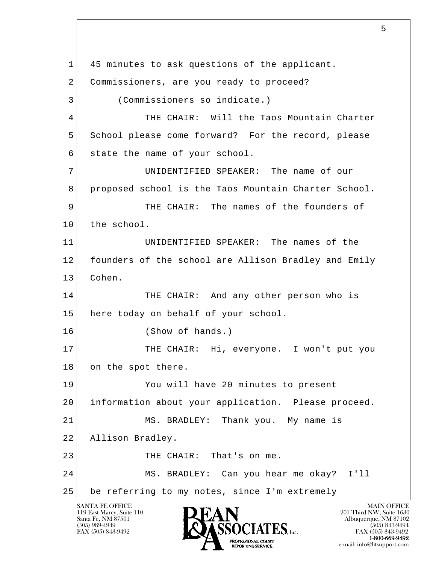l  $\overline{\phantom{a}}$ SANTA FE OFFICE MAIN OFFICE MAIN OFFICE MAIN OFFICE MAIN OFFICE 119 East Marcy, Suite 110<br>Santa Fe, NM 87501 1 45 minutes to ask questions of the applicant. 2 Commissioners, are you ready to proceed? 3 (Commissioners so indicate.) 4 THE CHAIR: Will the Taos Mountain Charter 5 School please come forward? For the record, please 6 state the name of your school. 7 UNIDENTIFIED SPEAKER: The name of our 8 proposed school is the Taos Mountain Charter School. 9 THE CHAIR: The names of the founders of 10 the school. 11 UNIDENTIFIED SPEAKER: The names of the 12 founders of the school are Allison Bradley and Emily 13 Cohen. 14 THE CHAIR: And any other person who is 15 here today on behalf of your school. 16 (Show of hands.) 17 THE CHAIR: Hi, everyone. I won't put you 18 on the spot there. 19 You will have 20 minutes to present 20 information about your application. Please proceed. 21 MS. BRADLEY: Thank you. My name is 22 Allison Bradley. 23 THE CHAIR: That's on me. 24 MS. BRADLEY: Can you hear me okay? I'll 25 be referring to my notes, since I'm extremely

Santa Fe, NM 87501 Albuquerque, NM 87102  $\sum_{\text{FAX (505) 843-9492}}$   $\sum_{\text{FAX (505) 843-9492}}$   $\sum_{\text{FAX (505) 843-9492}}$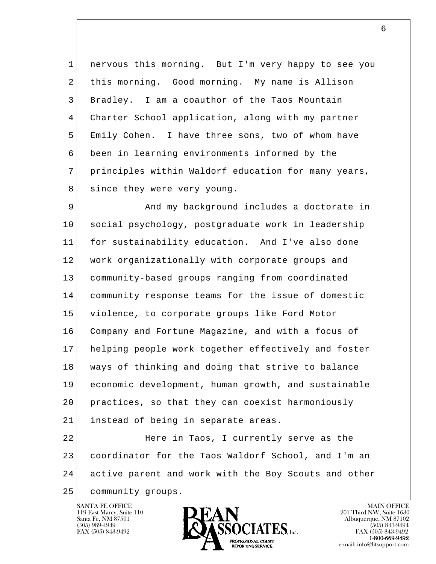1 nervous this morning. But I'm very happy to see you 2 this morning. Good morning. My name is Allison 3 Bradley. I am a coauthor of the Taos Mountain 4 Charter School application, along with my partner 5 Emily Cohen. I have three sons, two of whom have 6 been in learning environments informed by the 7 principles within Waldorf education for many years, 8 since they were very young.

9 And my background includes a doctorate in 10 social psychology, postgraduate work in leadership 11 for sustainability education. And I've also done 12 work organizationally with corporate groups and 13 community-based groups ranging from coordinated 14 community response teams for the issue of domestic 15 violence, to corporate groups like Ford Motor 16 Company and Fortune Magazine, and with a focus of 17 helping people work together effectively and foster 18 ways of thinking and doing that strive to balance 19 economic development, human growth, and sustainable 20 practices, so that they can coexist harmoniously 21 instead of being in separate areas.

l  $\overline{\phantom{a}}$ 22 Here in Taos, I currently serve as the 23 coordinator for the Taos Waldorf School, and I'm an 24 active parent and work with the Boy Scouts and other

25 community groups.

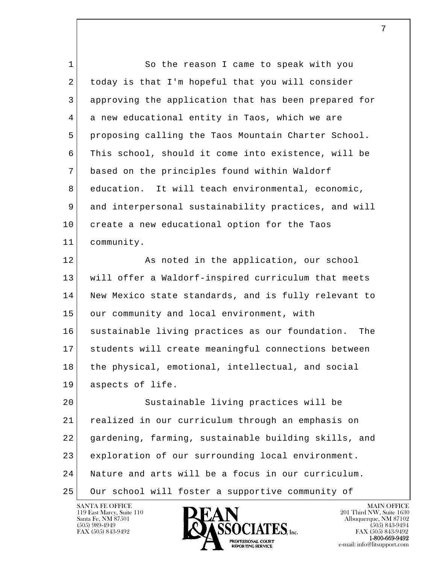| $\mathbf 1$ | So the reason I came to speak with you                 |
|-------------|--------------------------------------------------------|
| 2           | today is that I'm hopeful that you will consider       |
| 3           | approving the application that has been prepared for   |
| 4           | a new educational entity in Taos, which we are         |
| 5           | proposing calling the Taos Mountain Charter School.    |
| 6           | This school, should it come into existence, will be    |
| 7           | based on the principles found within Waldorf           |
| 8           | education. It will teach environmental, economic,      |
| 9           | and interpersonal sustainability practices, and will   |
| 10          | create a new educational option for the Taos           |
| 11          | community.                                             |
| 12          | As noted in the application, our school                |
| 13          | will offer a Waldorf-inspired curriculum that meets    |
| 14          | New Mexico state standards, and is fully relevant to   |
| 15          | our community and local environment, with              |
| 16          | sustainable living practices as our foundation.<br>The |
| 17          | students will create meaningful connections between    |
| 18          | the physical, emotional, intellectual, and social      |
| 19          | aspects of life.                                       |
| 20          | Sustainable living practices will be                   |
| 21          | realized in our curriculum through an emphasis on      |
| 22          | gardening, farming, sustainable building skills, and   |
| 23          | exploration of our surrounding local environment.      |
| 24          | Nature and arts will be a focus in our curriculum.     |
| 25          | Our school will foster a supportive community of       |

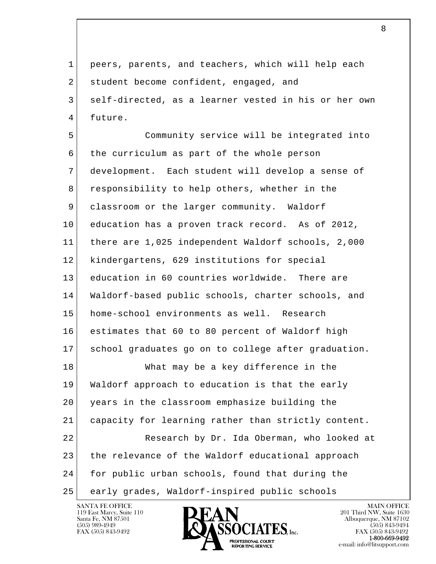1 peers, parents, and teachers, which will help each 2 student become confident, engaged, and 3 self-directed, as a learner vested in his or her own 4 future.

l  $\overline{\phantom{a}}$  5 Community service will be integrated into 6 the curriculum as part of the whole person 7 development. Each student will develop a sense of 8 responsibility to help others, whether in the 9 classroom or the larger community. Waldorf 10 education has a proven track record. As of 2012, 11 there are 1,025 independent Waldorf schools, 2,000 12 kindergartens, 629 institutions for special 13 education in 60 countries worldwide. There are 14 Waldorf-based public schools, charter schools, and 15 | home-school environments as well. Research 16 estimates that 60 to 80 percent of Waldorf high 17 school graduates go on to college after graduation. 18 What may be a key difference in the 19 Waldorf approach to education is that the early 20 years in the classroom emphasize building the 21 capacity for learning rather than strictly content. 22 Research by Dr. Ida Oberman, who looked at 23 the relevance of the Waldorf educational approach 24 for public urban schools, found that during the 25 early grades, Waldorf-inspired public schools

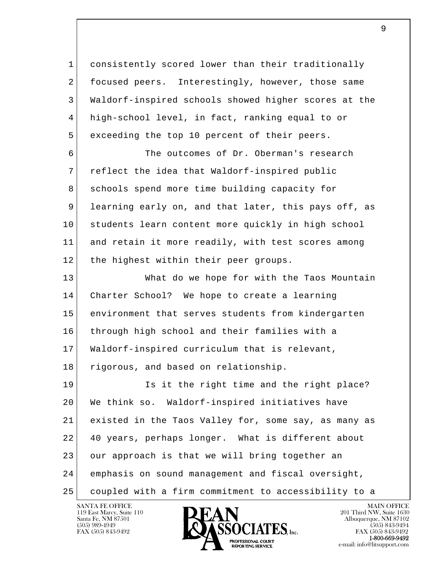1 consistently scored lower than their traditionally 2 focused peers. Interestingly, however, those same 3 Waldorf-inspired schools showed higher scores at the 4 high-school level, in fact, ranking equal to or 5 exceeding the top 10 percent of their peers.

6 The outcomes of Dr. Oberman's research 7 reflect the idea that Waldorf-inspired public 8 schools spend more time building capacity for 9 learning early on, and that later, this pays off, as 10 students learn content more quickly in high school 11 and retain it more readily, with test scores among 12 the highest within their peer groups.

 13 What do we hope for with the Taos Mountain 14 Charter School? We hope to create a learning 15 environment that serves students from kindergarten 16 through high school and their families with a 17 Waldorf-inspired curriculum that is relevant, 18 rigorous, and based on relationship.

l  $\overline{\phantom{a}}$ 19 Is it the right time and the right place? 20 We think so. Waldorf-inspired initiatives have 21 existed in the Taos Valley for, some say, as many as 22 40 years, perhaps longer. What is different about 23 our approach is that we will bring together an 24 emphasis on sound management and fiscal oversight, 25 coupled with a firm commitment to accessibility to a

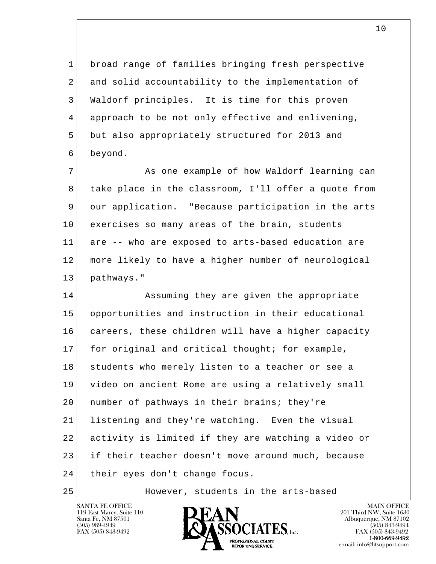1 broad range of families bringing fresh perspective 2 and solid accountability to the implementation of 3 Waldorf principles. It is time for this proven 4 approach to be not only effective and enlivening, 5 but also appropriately structured for 2013 and 6 beyond.

7 As one example of how Waldorf learning can 8 take place in the classroom, I'll offer a quote from 9 our application. "Because participation in the arts 10 exercises so many areas of the brain, students 11 are -- who are exposed to arts-based education are 12 more likely to have a higher number of neurological 13 pathways."

l  $\overline{\phantom{a}}$ 14 Assuming they are given the appropriate 15 opportunities and instruction in their educational 16 careers, these children will have a higher capacity 17 for original and critical thought; for example, 18 students who merely listen to a teacher or see a 19 video on ancient Rome are using a relatively small 20 number of pathways in their brains; they're 21 listening and they're watching. Even the visual 22 activity is limited if they are watching a video or 23 if their teacher doesn't move around much, because 24 their eyes don't change focus.

25 However, students in the arts-based

119 East Marcy, Suite 110<br>Santa Fe, NM 87501

SANTA FE OFFICE MAIN OFFICE MAIN OFFICE MAIN OFFICE MAIN OFFICE Santa Fe, NM 87501 Albuquerque, NM 87102  $\sum_{\text{FAX (505) 843-9492}}$   $\sum_{\text{FAX (505) 843-9492}}$   $\sum_{\text{FAX (505) 843-9492}}$ **1-800-669-9492**<br> **EXALTERIONAL CN BT** e-mail: info@litsupport.com<br>REPORTING SERVICE e-mail: info@litsupport.com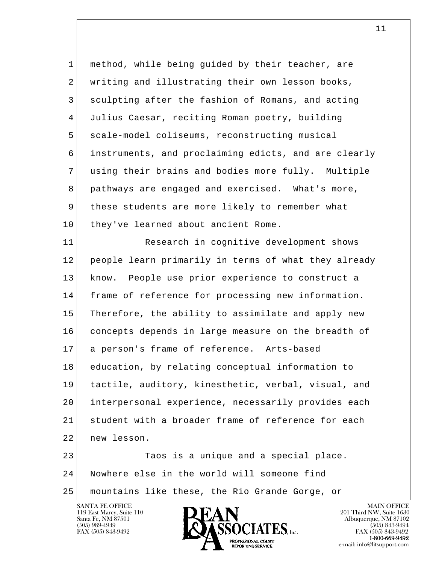| $\mathbf 1$ | method, while being guided by their teacher, are     |
|-------------|------------------------------------------------------|
| 2           | writing and illustrating their own lesson books,     |
| 3           | sculpting after the fashion of Romans, and acting    |
| 4           | Julius Caesar, reciting Roman poetry, building       |
| 5           | scale-model coliseums, reconstructing musical        |
| 6           | instruments, and proclaiming edicts, and are clearly |
| 7           | using their brains and bodies more fully. Multiple   |
| 8           | pathways are engaged and exercised. What's more,     |
| 9           | these students are more likely to remember what      |
| 10          | they've learned about ancient Rome.                  |
| 11          | Research in cognitive development shows              |
| 12          | people learn primarily in terms of what they already |
| 13          | know. People use prior experience to construct a     |
| 14          | frame of reference for processing new information.   |
| 15          | Therefore, the ability to assimilate and apply new   |
| 16          | concepts depends in large measure on the breadth of  |
| 17          | a person's frame of reference. Arts-based            |
| 18          | education, by relating conceptual information to     |
| 19          | tactile, auditory, kinesthetic, verbal, visual, and  |
| 20          | interpersonal experience, necessarily provides each  |
| 21          | student with a broader frame of reference for each   |
| 22          | new lesson.                                          |
| 23          | Taos is a unique and a special place.                |
| 24          | Nowhere else in the world will someone find          |
| 25          | mountains like these, the Rio Grande Gorge, or       |

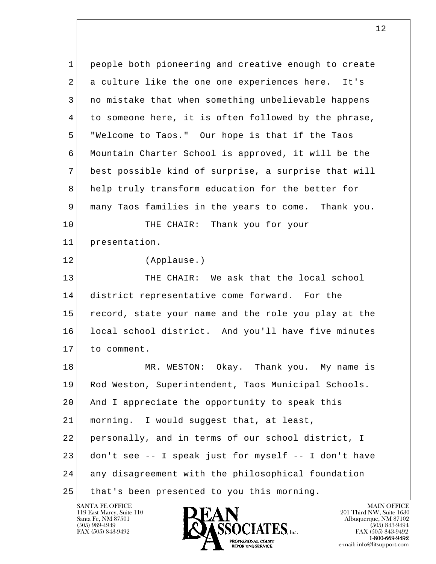l  $\overline{\phantom{a}}$  1 people both pioneering and creative enough to create 2 a culture like the one one experiences here. It's 3 no mistake that when something unbelievable happens 4 to someone here, it is often followed by the phrase, 5 "Welcome to Taos." Our hope is that if the Taos 6 Mountain Charter School is approved, it will be the 7 best possible kind of surprise, a surprise that will 8 help truly transform education for the better for 9 many Taos families in the years to come. Thank you. 10 THE CHAIR: Thank you for your 11 presentation. 12 (Applause.) 13 THE CHAIR: We ask that the local school 14 district representative come forward. For the 15 record, state your name and the role you play at the 16 local school district. And you'll have five minutes 17 to comment. 18 MR. WESTON: Okay. Thank you. My name is 19 Rod Weston, Superintendent, Taos Municipal Schools. 20 And I appreciate the opportunity to speak this 21 | morning. I would suggest that, at least, 22 personally, and in terms of our school district, I 23 don't see -- I speak just for myself -- I don't have 24 any disagreement with the philosophical foundation 25 | that's been presented to you this morning.

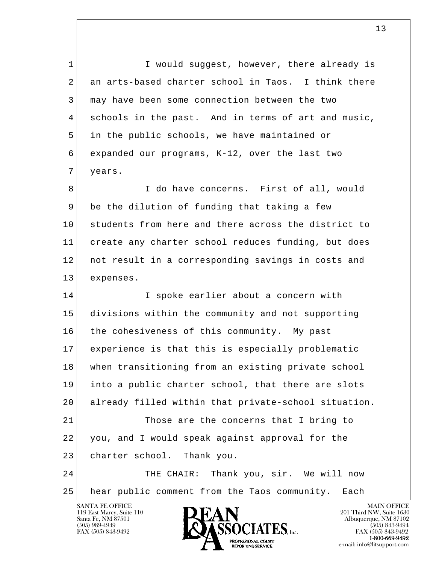1 I would suggest, however, there already is 2 an arts-based charter school in Taos. I think there 3 may have been some connection between the two 4 schools in the past. And in terms of art and music, 5 in the public schools, we have maintained or 6 expanded our programs, K-12, over the last two 7 years.

8 I do have concerns. First of all, would  $9$  be the dilution of funding that taking a few 10 students from here and there across the district to 11 create any charter school reduces funding, but does 12 not result in a corresponding savings in costs and 13 expenses.

l  $\overline{\phantom{a}}$ 14 I spoke earlier about a concern with 15 divisions within the community and not supporting 16 the cohesiveness of this community. My past 17 experience is that this is especially problematic 18 when transitioning from an existing private school 19 into a public charter school, that there are slots 20 already filled within that private-school situation. 21 Those are the concerns that I bring to 22 you, and I would speak against approval for the 23 charter school. Thank you. 24 THE CHAIR: Thank you, sir. We will now 25 hear public comment from the Taos community. Each

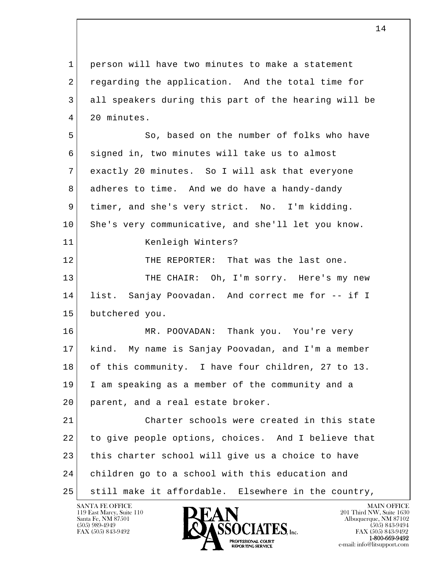l  $\overline{\phantom{a}}$  1 person will have two minutes to make a statement 2 regarding the application. And the total time for 3 all speakers during this part of the hearing will be 4 20 minutes. 5 So, based on the number of folks who have 6 signed in, two minutes will take us to almost 7 exactly 20 minutes. So I will ask that everyone 8 adheres to time. And we do have a handy-dandy 9 timer, and she's very strict. No. I'm kidding. 10 She's very communicative, and she'll let you know. 11 Kenleigh Winters? 12 THE REPORTER: That was the last one. 13 THE CHAIR: Oh, I'm sorry. Here's my new 14 list. Sanjay Poovadan. And correct me for -- if I 15 butchered you. 16 MR. POOVADAN: Thank you. You're very 17 kind. My name is Sanjay Poovadan, and I'm a member 18 of this community. I have four children, 27 to 13. 19 I am speaking as a member of the community and a 20 parent, and a real estate broker. 21 Charter schools were created in this state 22 to give people options, choices. And I believe that 23 this charter school will give us a choice to have 24 children go to a school with this education and 25 still make it affordable. Elsewhere in the country,

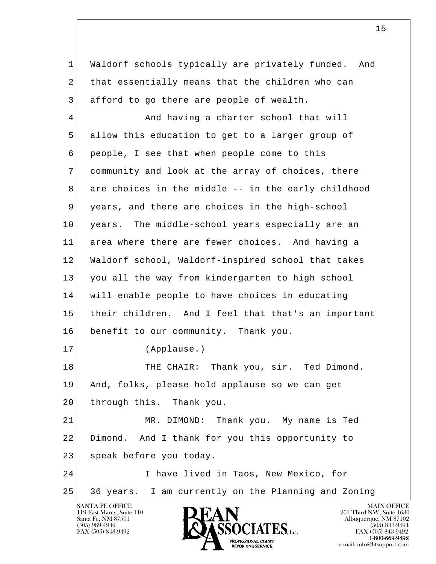l  $\overline{\phantom{a}}$  1 Waldorf schools typically are privately funded. And 2 that essentially means that the children who can 3 afford to go there are people of wealth. 4 And having a charter school that will 5 allow this education to get to a larger group of 6 people, I see that when people come to this 7 community and look at the array of choices, there 8 are choices in the middle -- in the early childhood 9 years, and there are choices in the high-school 10 years. The middle-school years especially are an 11 area where there are fewer choices. And having a 12 Waldorf school, Waldorf-inspired school that takes 13 you all the way from kindergarten to high school 14 will enable people to have choices in educating 15 their children. And I feel that that's an important 16 benefit to our community. Thank you. 17 (Applause.) 18 THE CHAIR: Thank you, sir. Ted Dimond. 19 And, folks, please hold applause so we can get 20 through this. Thank you. 21 MR. DIMOND: Thank you. My name is Ted 22 Dimond. And I thank for you this opportunity to 23 speak before you today. 24 I have lived in Taos, New Mexico, for 25 36 years. I am currently on the Planning and Zoning

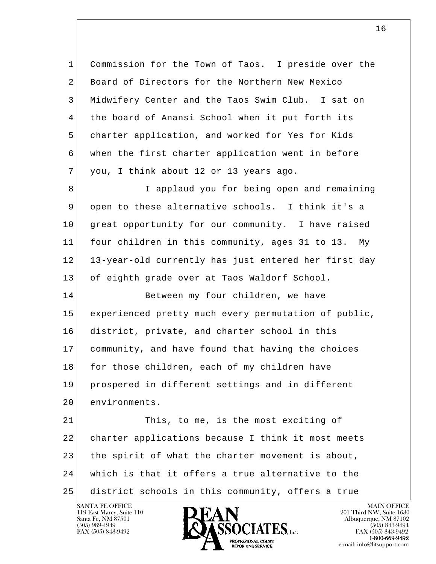1 Commission for the Town of Taos. I preside over the 2 Board of Directors for the Northern New Mexico 3 Midwifery Center and the Taos Swim Club. I sat on 4 the board of Anansi School when it put forth its 5 charter application, and worked for Yes for Kids 6 when the first charter application went in before 7 you, I think about 12 or 13 years ago. 8 I applaud you for being open and remaining

 9 open to these alternative schools. I think it's a 10 great opportunity for our community. I have raised 11 four children in this community, ages 31 to 13. My 12 13-year-old currently has just entered her first day 13 of eighth grade over at Taos Waldorf School.

14 Between my four children, we have 15 experienced pretty much every permutation of public, 16 district, private, and charter school in this 17 community, and have found that having the choices 18 for those children, each of my children have 19 prospered in different settings and in different 20 environments.

l  $\overline{\phantom{a}}$ 21 This, to me, is the most exciting of 22 charter applications because I think it most meets 23 the spirit of what the charter movement is about, 24 which is that it offers a true alternative to the 25 district schools in this community, offers a true

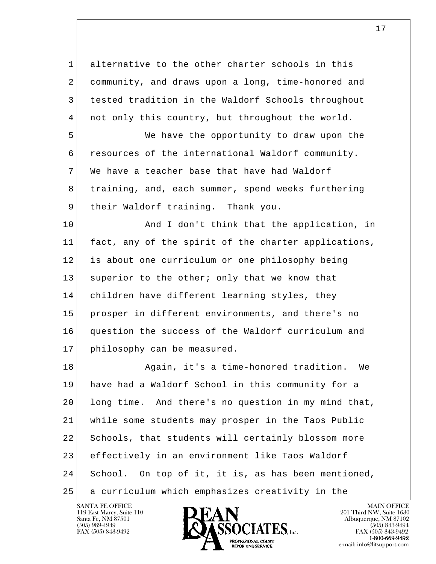l  $\overline{\phantom{a}}$  1 alternative to the other charter schools in this 2 community, and draws upon a long, time-honored and 3 tested tradition in the Waldorf Schools throughout 4 | not only this country, but throughout the world. 5 We have the opportunity to draw upon the 6 resources of the international Waldorf community. 7 We have a teacher base that have had Waldorf 8 training, and, each summer, spend weeks furthering 9 | their Waldorf training. Thank you. 10 | And I don't think that the application, in 11 fact, any of the spirit of the charter applications, 12 is about one curriculum or one philosophy being 13 superior to the other; only that we know that 14 children have different learning styles, they 15 prosper in different environments, and there's no 16 question the success of the Waldorf curriculum and 17 philosophy can be measured. 18 Again, it's a time-honored tradition. We 19 have had a Waldorf School in this community for a 20 long time. And there's no question in my mind that, 21 while some students may prosper in the Taos Public 22 Schools, that students will certainly blossom more 23 effectively in an environment like Taos Waldorf 24 School. On top of it, it is, as has been mentioned, 25 a curriculum which emphasizes creativity in the

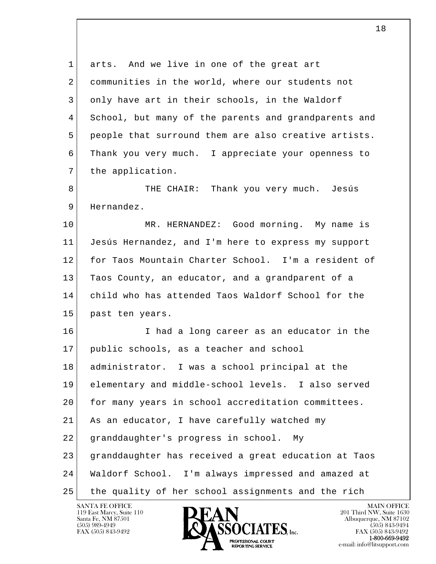l  $\overline{\phantom{a}}$ 1 arts. And we live in one of the great art 2 communities in the world, where our students not 3 only have art in their schools, in the Waldorf 4 School, but many of the parents and grandparents and 5 people that surround them are also creative artists. 6 Thank you very much. I appreciate your openness to 7 the application. 8 THE CHAIR: Thank you very much. Jesús 9 Hernandez. 10 MR. HERNANDEZ: Good morning. My name is 11 Jesús Hernandez, and I'm here to express my support 12 for Taos Mountain Charter School. I'm a resident of 13 Taos County, an educator, and a grandparent of a 14 child who has attended Taos Waldorf School for the 15 past ten years. 16 I had a long career as an educator in the 17 public schools, as a teacher and school 18 administrator. I was a school principal at the 19 elementary and middle-school levels. I also served 20 for many years in school accreditation committees. 21 As an educator, I have carefully watched my 22 granddaughter's progress in school. My 23 granddaughter has received a great education at Taos 24 Waldorf School. I'm always impressed and amazed at 25 the quality of her school assignments and the rich

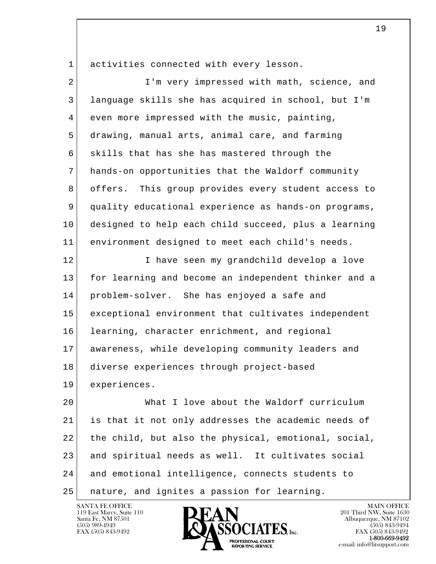1 activities connected with every lesson.

| $\overline{a}$ | I'm very impressed with math, science, and             |
|----------------|--------------------------------------------------------|
| 3              | language skills she has acquired in school, but I'm    |
| 4              | even more impressed with the music, painting,          |
| 5              | drawing, manual arts, animal care, and farming         |
| 6              | skills that has she has mastered through the           |
| 7              | hands-on opportunities that the Waldorf community      |
| 8              | This group provides every student access to<br>offers. |
| 9              | quality educational experience as hands-on programs,   |
| 10             | designed to help each child succeed, plus a learning   |
| 11             | environment designed to meet each child's needs.       |
| 12             | I have seen my grandchild develop a love               |
| 13             | for learning and become an independent thinker and a   |
| 14             | problem-solver. She has enjoyed a safe and             |
| 15             | exceptional environment that cultivates independent    |
| 16             | learning, character enrichment, and regional           |
| 17             | awareness, while developing community leaders and      |
| 18             | diverse experiences through project-based              |
| 19             | experiences.                                           |
| 20             | What I love about the Waldorf curriculum               |
| 21             | is that it not only addresses the academic needs of    |
| 22             | the child, but also the physical, emotional, social,   |
| 23             | and spiritual needs as well. It cultivates social      |
| 24             | and emotional intelligence, connects students to       |
| 25             | nature, and ignites a passion for learning.            |

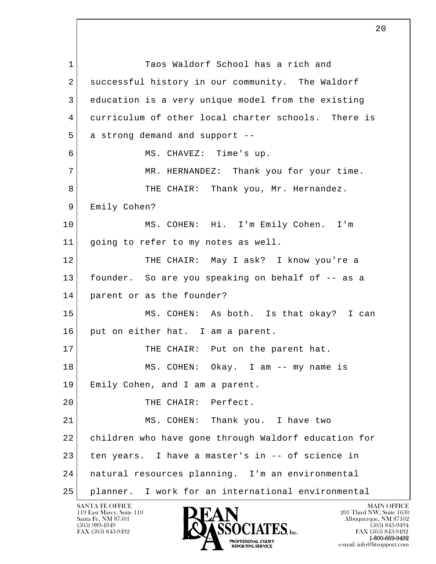l  $\overline{\phantom{a}}$ 1 Taos Waldorf School has a rich and 2 successful history in our community. The Waldorf 3 education is a very unique model from the existing 4 curriculum of other local charter schools. There is 5 a strong demand and support -- 6 MS. CHAVEZ: Time's up. 7 MR. HERNANDEZ: Thank you for your time. 8 THE CHAIR: Thank you, Mr. Hernandez. 9 Emily Cohen? 10 MS. COHEN: Hi. I'm Emily Cohen. I'm 11 going to refer to my notes as well. 12 THE CHAIR: May I ask? I know you're a 13 founder. So are you speaking on behalf of -- as a 14 parent or as the founder? 15 MS. COHEN: As both. Is that okay? I can 16 put on either hat. I am a parent. 17 THE CHAIR: Put on the parent hat. 18 MS. COHEN: Okay. I am -- my name is 19 Emily Cohen, and I am a parent. 20 THE CHAIR: Perfect. 21 MS. COHEN: Thank you. I have two 22 children who have gone through Waldorf education for 23 ten years. I have a master's in -- of science in 24 natural resources planning. I'm an environmental 25 planner. I work for an international environmental

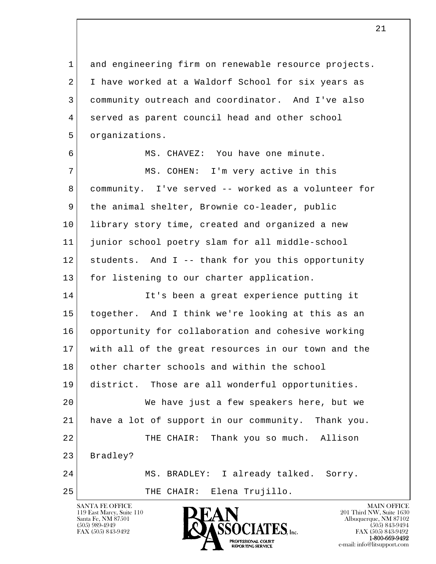1 and engineering firm on renewable resource projects. 2 I have worked at a Waldorf School for six years as 3 community outreach and coordinator. And I've also 4 served as parent council head and other school 5 | organizations.

6 MS. CHAVEZ: You have one minute.

7 | MS. COHEN: I'm very active in this 8 community. I've served -- worked as a volunteer for 9 the animal shelter, Brownie co-leader, public 10 library story time, created and organized a new 11 junior school poetry slam for all middle-school 12 students. And I -- thank for you this opportunity 13 for listening to our charter application.

l  $\overline{\phantom{a}}$ 14 It's been a great experience putting it 15 together. And I think we're looking at this as an 16 opportunity for collaboration and cohesive working 17 with all of the great resources in our town and the 18 other charter schools and within the school 19 district. Those are all wonderful opportunities. 20 We have just a few speakers here, but we 21 have a lot of support in our community. Thank you. 22 THE CHAIR: Thank you so much. Allison 23 Bradley? 24 MS. BRADLEY: I already talked. Sorry. 25 | THE CHAIR: Elena Trujillo.

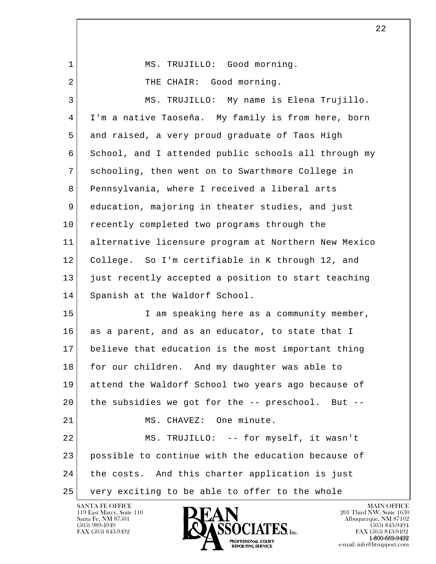| 1  | MS. TRUJILLO: Good morning.                          |
|----|------------------------------------------------------|
| 2  | THE CHAIR: Good morning.                             |
| 3  | MS. TRUJILLO: My name is Elena Trujillo.             |
| 4  | I'm a native Taoseña. My family is from here, born   |
| 5  | and raised, a very proud graduate of Taos High       |
| 6  | School, and I attended public schools all through my |
| 7  | schooling, then went on to Swarthmore College in     |
| 8  | Pennsylvania, where I received a liberal arts        |
| 9  | education, majoring in theater studies, and just     |
| 10 | recently completed two programs through the          |
| 11 | alternative licensure program at Northern New Mexico |
| 12 | College. So I'm certifiable in K through 12, and     |
| 13 | just recently accepted a position to start teaching  |
| 14 | Spanish at the Waldorf School.                       |
| 15 | I am speaking here as a community member,            |
| 16 | as a parent, and as an educator, to state that I     |
| 17 | believe that education is the most important thing   |
| 18 | for our children. And my daughter was able to        |
| 19 | attend the Waldorf School two years ago because of   |
| 20 | the subsidies we got for the -- preschool. But --    |
| 21 | MS. CHAVEZ: One minute.                              |
| 22 | MS. TRUJILLO: -- for myself, it wasn't               |
| 23 | possible to continue with the education because of   |
| 24 | the costs. And this charter application is just      |
| 25 | very exciting to be able to offer to the whole       |

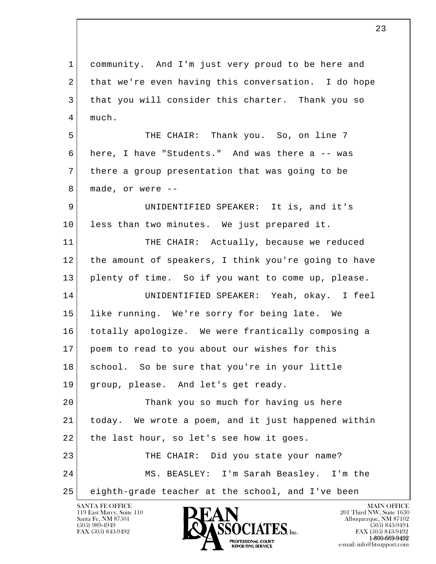l  $\overline{\phantom{a}}$ SANTA FE OFFICE MAIN OFFICE MAIN OFFICE MAIN OFFICE 1 community. And I'm just very proud to be here and 2 that we're even having this conversation. I do hope 3 | that you will consider this charter. Thank you so 4 much. 5 THE CHAIR: Thank you. So, on line 7 6 here, I have "Students." And was there a -- was 7 there a group presentation that was going to be 8 made, or were -- 9 UNIDENTIFIED SPEAKER: It is, and it's 10 less than two minutes. We just prepared it. 11 THE CHAIR: Actually, because we reduced 12 the amount of speakers, I think you're going to have 13 plenty of time. So if you want to come up, please. 14 UNIDENTIFIED SPEAKER: Yeah, okay. I feel 15 like running. We're sorry for being late. We 16 totally apologize. We were frantically composing a 17 poem to read to you about our wishes for this 18 school. So be sure that you're in your little 19 group, please. And let's get ready. 20 Thank you so much for having us here 21 today. We wrote a poem, and it just happened within 22 | the last hour, so let's see how it goes. 23 THE CHAIR: Did you state your name? 24 MS. BEASLEY: I'm Sarah Beasley. I'm the 25 eighth-grade teacher at the school, and I've been

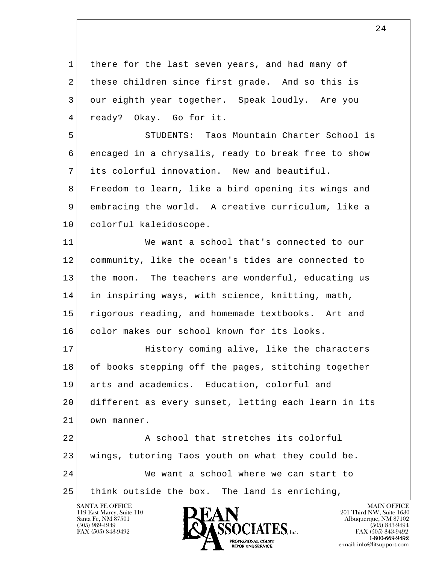l  $\overline{\phantom{a}}$  1 there for the last seven years, and had many of 2 these children since first grade. And so this is 3 our eighth year together. Speak loudly. Are you 4 ready? Okay. Go for it. 5 STUDENTS: Taos Mountain Charter School is 6 encaged in a chrysalis, ready to break free to show 7 its colorful innovation. New and beautiful. 8 Freedom to learn, like a bird opening its wings and 9 embracing the world. A creative curriculum, like a 10 colorful kaleidoscope. 11 We want a school that's connected to our 12 community, like the ocean's tides are connected to 13 the moon. The teachers are wonderful, educating us 14 in inspiring ways, with science, knitting, math, 15 rigorous reading, and homemade textbooks. Art and 16 color makes our school known for its looks. 17 History coming alive, like the characters 18 of books stepping off the pages, stitching together 19 arts and academics. Education, colorful and 20 different as every sunset, letting each learn in its 21 own manner. 22 A school that stretches its colorful 23 wings, tutoring Taos youth on what they could be. 24 We want a school where we can start to 25 think outside the box. The land is enriching,

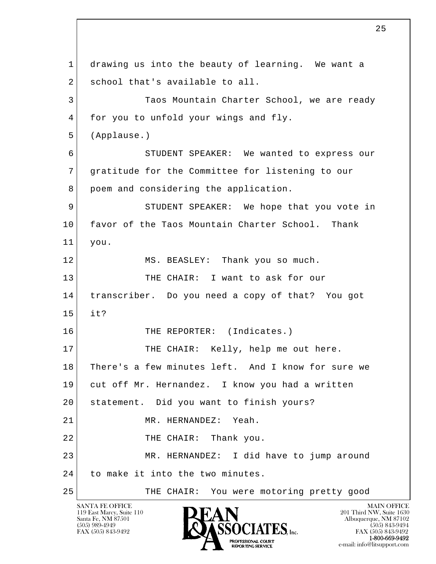l  $\overline{\phantom{a}}$  1 drawing us into the beauty of learning. We want a 2 school that's available to all. 3 Taos Mountain Charter School, we are ready 4 for you to unfold your wings and fly. 5 (Applause.) 6 STUDENT SPEAKER: We wanted to express our 7 gratitude for the Committee for listening to our 8 poem and considering the application. 9 STUDENT SPEAKER: We hope that you vote in 10 favor of the Taos Mountain Charter School. Thank 11 you. 12 MS. BEASLEY: Thank you so much. 13 THE CHAIR: I want to ask for our 14 transcriber. Do you need a copy of that? You got  $15$  it? 16 THE REPORTER: (Indicates.) 17 THE CHAIR: Kelly, help me out here. 18 There's a few minutes left. And I know for sure we 19 cut off Mr. Hernandez. I know you had a written 20 | statement. Did you want to finish yours? 21 MR. HERNANDEZ: Yeah. 22 THE CHAIR: Thank you. 23 MR. HERNANDEZ: I did have to jump around 24 to make it into the two minutes. 25 THE CHAIR: You were motoring pretty good

119 East Marcy, Suite 110<br>Santa Fe, NM 87501

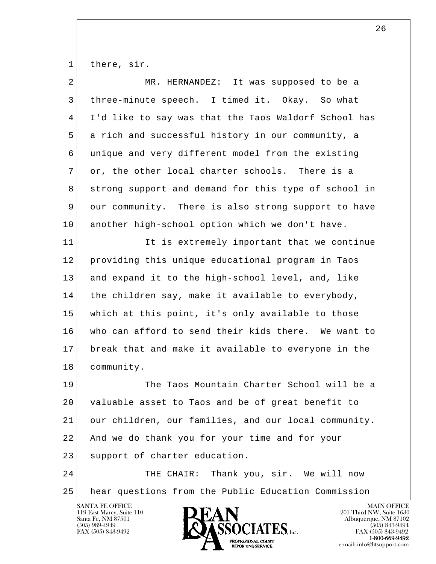1 there, sir.

| 2  | MR. HERNANDEZ: It was supposed to be a               |
|----|------------------------------------------------------|
| 3  | three-minute speech. I timed it. Okay. So what       |
| 4  | I'd like to say was that the Taos Waldorf School has |
| 5  | a rich and successful history in our community, a    |
| 6  | unique and very different model from the existing    |
| 7  | or, the other local charter schools. There is a      |
| 8  | strong support and demand for this type of school in |
| 9  | our community. There is also strong support to have  |
| 10 | another high-school option which we don't have.      |
| 11 | It is extremely important that we continue           |
| 12 | providing this unique educational program in Taos    |
| 13 | and expand it to the high-school level, and, like    |
| 14 | the children say, make it available to everybody,    |
| 15 | which at this point, it's only available to those    |
| 16 | who can afford to send their kids there. We want to  |
| 17 | break that and make it available to everyone in the  |
| 18 | community.                                           |
| 19 | The Taos Mountain Charter School will be a           |
| 20 | valuable asset to Taos and be of great benefit to    |
| 21 | our children, our families, and our local community. |
| 22 | And we do thank you for your time and for your       |
| 23 | support of charter education.                        |
| 24 | THE CHAIR: Thank you, sir. We will now               |
| 25 | hear questions from the Public Education Commission  |

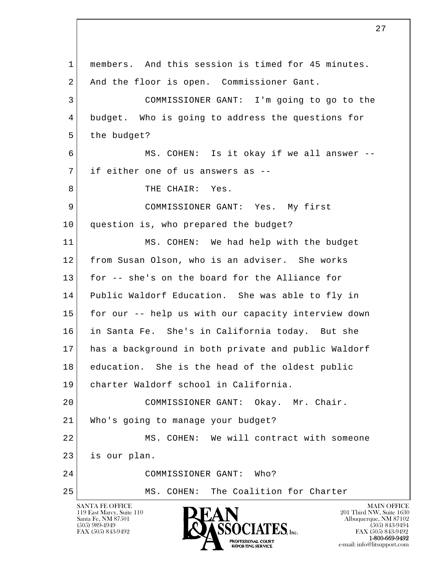l  $\overline{\phantom{a}}$ SANTA FE OFFICE MAIN OFFICE MAIN OFFICE MAIN OFFICE MAIN OFFICE 119 East Marcy, Suite 110<br>Santa Fe, NM 87501 Santa Fe, NM 87501 Albuquerque, NM 87102 1 members. And this session is timed for 45 minutes. 2 And the floor is open. Commissioner Gant. 3 COMMISSIONER GANT: I'm going to go to the 4 budget. Who is going to address the questions for 5 the budget? 6 MS. COHEN: Is it okay if we all answer --7 if either one of us answers as --8 THE CHAIR: Yes. 9 COMMISSIONER GANT: Yes. My first 10 question is, who prepared the budget? 11 MS. COHEN: We had help with the budget 12 from Susan Olson, who is an adviser. She works 13 for -- she's on the board for the Alliance for 14 Public Waldorf Education. She was able to fly in 15 for our -- help us with our capacity interview down 16 in Santa Fe. She's in California today. But she 17 has a background in both private and public Waldorf 18 education. She is the head of the oldest public 19 charter Waldorf school in California. 20 COMMISSIONER GANT: Okay. Mr. Chair. 21 Who's going to manage your budget? 22 MS. COHEN: We will contract with someone 23 is our plan. 24 COMMISSIONER GANT: Who? 25 MS. COHEN: The Coalition for Charter

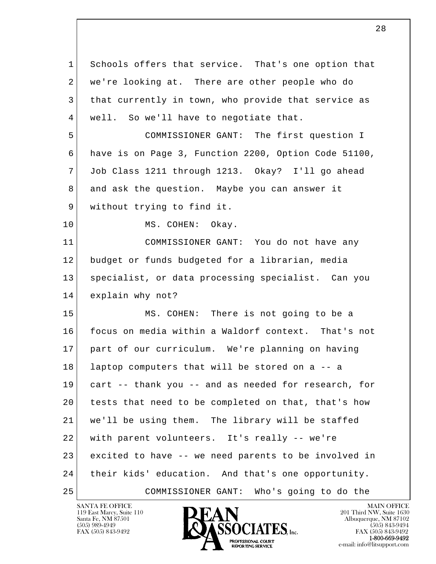l  $\overline{\phantom{a}}$  1 Schools offers that service. That's one option that 2 we're looking at. There are other people who do 3 that currently in town, who provide that service as 4 well. So we'll have to negotiate that. 5 COMMISSIONER GANT: The first question I 6 have is on Page 3, Function 2200, Option Code 51100, 7 Job Class 1211 through 1213. Okay? I'll go ahead 8 and ask the question. Maybe you can answer it 9 without trying to find it. 10 MS. COHEN: Okay. 11 COMMISSIONER GANT: You do not have any 12 budget or funds budgeted for a librarian, media 13 specialist, or data processing specialist. Can you 14 explain why not? 15 MS. COHEN: There is not going to be a 16 focus on media within a Waldorf context. That's not 17 part of our curriculum. We're planning on having 18 laptop computers that will be stored on a -- a 19 cart -- thank you -- and as needed for research, for 20 tests that need to be completed on that, that's how 21 we'll be using them. The library will be staffed 22 with parent volunteers. It's really -- we're 23 excited to have -- we need parents to be involved in 24 their kids' education. And that's one opportunity. 25 COMMISSIONER GANT: Who's going to do the

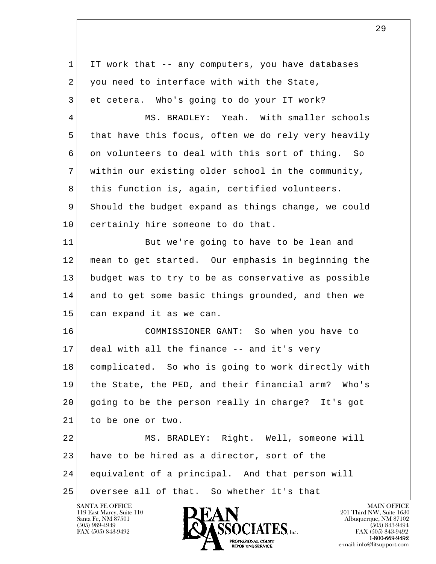l  $\overline{\phantom{a}}$  1 IT work that -- any computers, you have databases  $2$  you need to interface with with the State, 3 et cetera. Who's going to do your IT work? 4 MS. BRADLEY: Yeah. With smaller schools 5 that have this focus, often we do rely very heavily 6 on volunteers to deal with this sort of thing. So 7 within our existing older school in the community, 8 this function is, again, certified volunteers. 9 Should the budget expand as things change, we could 10 certainly hire someone to do that. 11 But we're going to have to be lean and 12 mean to get started. Our emphasis in beginning the 13 budget was to try to be as conservative as possible 14 and to get some basic things grounded, and then we 15 can expand it as we can. 16 COMMISSIONER GANT: So when you have to 17 deal with all the finance -- and it's very 18 complicated. So who is going to work directly with 19 the State, the PED, and their financial arm? Who's 20 going to be the person really in charge? It's got 21 to be one or two. 22 MS. BRADLEY: Right. Well, someone will 23 have to be hired as a director, sort of the 24 equivalent of a principal. And that person will 25 | oversee all of that. So whether it's that

119 East Marcy, Suite 110<br>Santa Fe, NM 87501

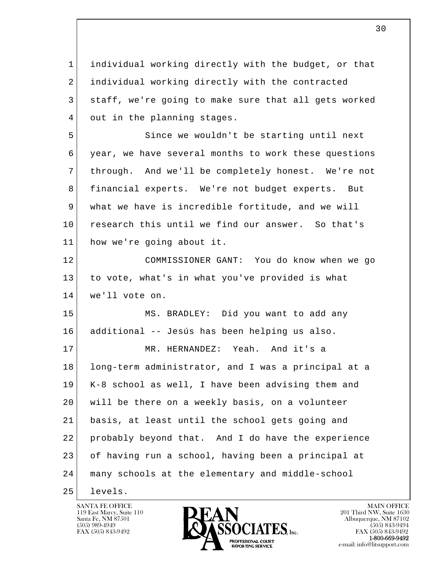l  $\overline{\phantom{a}}$  1 individual working directly with the budget, or that 2 individual working directly with the contracted 3 staff, we're going to make sure that all gets worked 4 out in the planning stages. 5 Since we wouldn't be starting until next 6 year, we have several months to work these questions 7 through. And we'll be completely honest. We're not 8 financial experts. We're not budget experts. But 9 what we have is incredible fortitude, and we will 10 research this until we find our answer. So that's 11 how we're going about it. 12 COMMISSIONER GANT: You do know when we go 13 to vote, what's in what you've provided is what 14 we'll vote on. 15 MS. BRADLEY: Did you want to add any 16 additional -- Jesús has been helping us also. 17 MR. HERNANDEZ: Yeah. And it's a 18 long-term administrator, and I was a principal at a 19 K-8 school as well, I have been advising them and 20 will be there on a weekly basis, on a volunteer 21 basis, at least until the school gets going and 22 probably beyond that. And I do have the experience 23 of having run a school, having been a principal at 24 many schools at the elementary and middle-school 25 levels.

119 East Marcy, Suite 110<br>Santa Fe, NM 87501



FAX (505) 843-9492<br>**1-800-669-9492**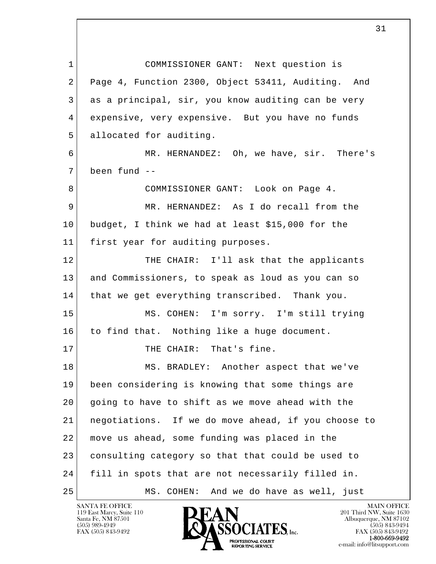l  $\overline{\phantom{a}}$  1 COMMISSIONER GANT: Next question is 2 Page 4, Function 2300, Object 53411, Auditing. And 3 as a principal, sir, you know auditing can be very 4 expensive, very expensive. But you have no funds 5 allocated for auditing. 6 MR. HERNANDEZ: Oh, we have, sir. There's 7 been fund -- 8 COMMISSIONER GANT: Look on Page 4. 9 MR. HERNANDEZ: As I do recall from the 10 budget, I think we had at least \$15,000 for the 11 first year for auditing purposes. 12 THE CHAIR: I'll ask that the applicants 13 and Commissioners, to speak as loud as you can so 14 that we get everything transcribed. Thank you. 15 MS. COHEN: I'm sorry. I'm still trying 16 to find that. Nothing like a huge document. 17 THE CHAIR: That's fine. 18 MS. BRADLEY: Another aspect that we've 19 been considering is knowing that some things are 20 going to have to shift as we move ahead with the 21 negotiations. If we do move ahead, if you choose to 22 move us ahead, some funding was placed in the 23 consulting category so that that could be used to 24 fill in spots that are not necessarily filled in. 25 MS. COHEN: And we do have as well, just

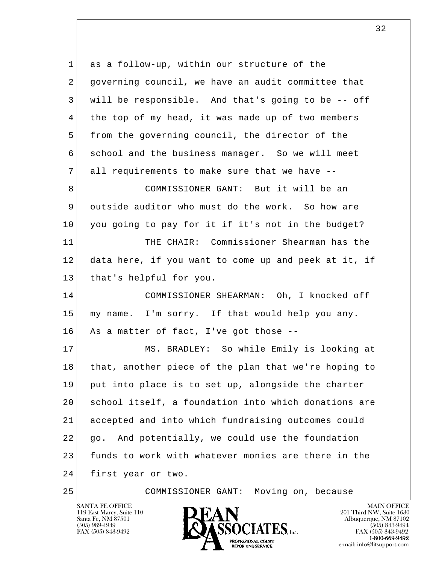l  $\overline{\phantom{a}}$  1 as a follow-up, within our structure of the 2 governing council, we have an audit committee that 3 will be responsible. And that's going to be -- off 4 | the top of my head, it was made up of two members 5 from the governing council, the director of the 6 school and the business manager. So we will meet 7 all requirements to make sure that we have -- 8 COMMISSIONER GANT: But it will be an 9 outside auditor who must do the work. So how are 10 you going to pay for it if it's not in the budget? 11 THE CHAIR: Commissioner Shearman has the 12 data here, if you want to come up and peek at it, if 13 | that's helpful for you. 14 COMMISSIONER SHEARMAN: Oh, I knocked off 15 my name. I'm sorry. If that would help you any. 16 As a matter of fact, I've got those --17 MS. BRADLEY: So while Emily is looking at 18 that, another piece of the plan that we're hoping to 19 put into place is to set up, alongside the charter 20 school itself, a foundation into which donations are 21 accepted and into which fundraising outcomes could 22 go. And potentially, we could use the foundation 23 funds to work with whatever monies are there in the 24 first year or two. 25 COMMISSIONER GANT: Moving on, because

119 East Marcy, Suite 110<br>Santa Fe, NM 87501

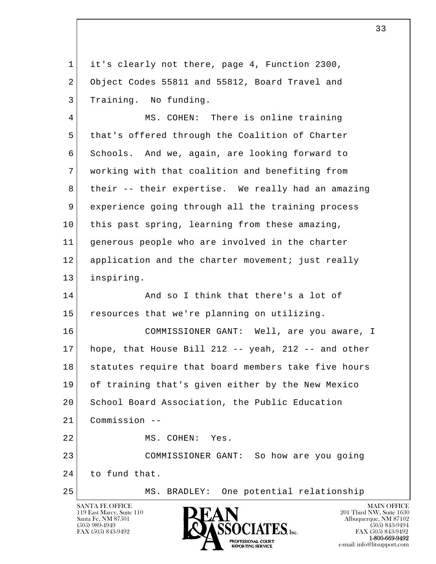1 it's clearly not there, page 4, Function 2300, 2 Object Codes 55811 and 55812, Board Travel and 3 Training. No funding.

4 MS. COHEN: There is online training 5 that's offered through the Coalition of Charter 6 Schools. And we, again, are looking forward to 7 working with that coalition and benefiting from 8 their -- their expertise. We really had an amazing 9 experience going through all the training process 10 this past spring, learning from these amazing, 11 generous people who are involved in the charter 12 application and the charter movement; just really 13 inspiring.

14 And so I think that there's a lot of 15 resources that we're planning on utilizing.

l 16 COMMISSIONER GANT: Well, are you aware, I 17 hope, that House Bill 212 -- yeah, 212 -- and other 18 statutes require that board members take five hours 19 of training that's given either by the New Mexico 20 School Board Association, the Public Education 21 Commission -- 22 MS. COHEN: Yes. 23 COMMISSIONER GANT: So how are you going

 $\overline{\phantom{a}}$ 24 to fund that.

25 MS. BRADLEY: One potential relationship

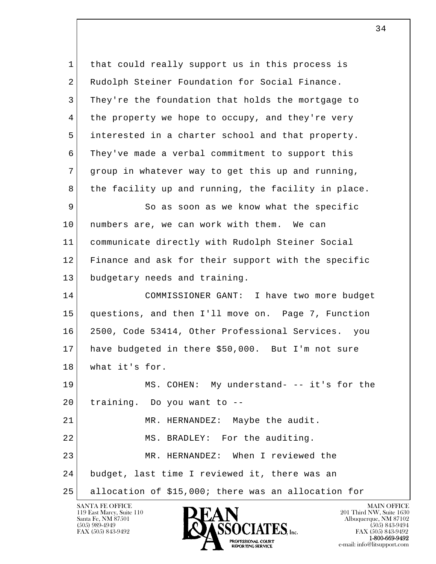l  $\overline{\phantom{a}}$  1 that could really support us in this process is 2 Rudolph Steiner Foundation for Social Finance. 3 They're the foundation that holds the mortgage to 4 the property we hope to occupy, and they're very 5 interested in a charter school and that property. 6 They've made a verbal commitment to support this 7 group in whatever way to get this up and running, 8 the facility up and running, the facility in place. 9 So as soon as we know what the specific 10 | numbers are, we can work with them. We can 11 communicate directly with Rudolph Steiner Social 12 Finance and ask for their support with the specific 13 budgetary needs and training. 14 COMMISSIONER GANT: I have two more budget 15 questions, and then I'll move on. Page 7, Function 16 2500, Code 53414, Other Professional Services. you 17 have budgeted in there \$50,000. But I'm not sure 18 what it's for. 19 MS. COHEN: My understand- -- it's for the 20 training. Do you want to -- 21 MR. HERNANDEZ: Maybe the audit. 22 MS. BRADLEY: For the auditing. 23 MR. HERNANDEZ: When I reviewed the 24 budget, last time I reviewed it, there was an 25 allocation of \$15,000; there was an allocation for

119 East Marcy, Suite 110<br>Santa Fe, NM 87501

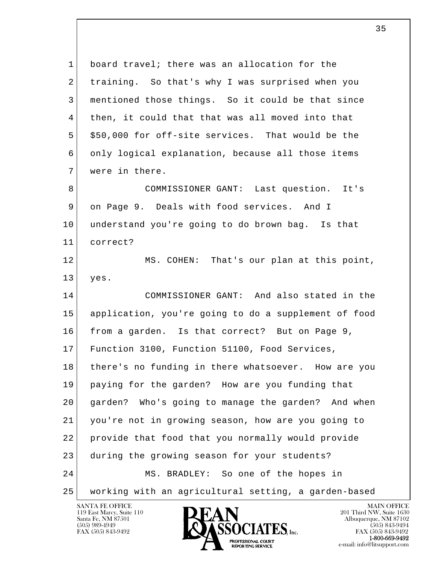l  $\overline{\phantom{a}}$  1 board travel; there was an allocation for the 2 training. So that's why I was surprised when you 3 mentioned those things. So it could be that since 4 then, it could that that was all moved into that 5 | \$50,000 for off-site services. That would be the 6 only logical explanation, because all those items 7 were in there. 8 COMMISSIONER GANT: Last question. It's 9 on Page 9. Deals with food services. And I 10 understand you're going to do brown bag. Is that 11 correct? 12 MS. COHEN: That's our plan at this point,  $13$  yes. 14 COMMISSIONER GANT: And also stated in the 15 application, you're going to do a supplement of food 16 from a garden. Is that correct? But on Page 9, 17 Function 3100, Function 51100, Food Services, 18 there's no funding in there whatsoever. How are you 19 paying for the garden? How are you funding that 20 garden? Who's going to manage the garden? And when 21 you're not in growing season, how are you going to 22 provide that food that you normally would provide 23 during the growing season for your students? 24 MS. BRADLEY: So one of the hopes in 25 working with an agricultural setting, a garden-based

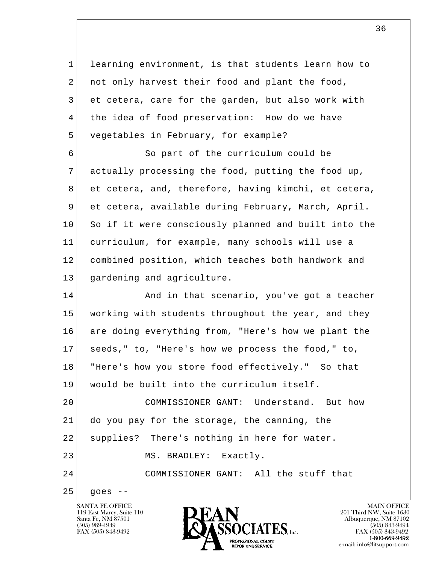l  $\overline{\phantom{a}}$  1 learning environment, is that students learn how to 2 | not only harvest their food and plant the food, 3 et cetera, care for the garden, but also work with 4 the idea of food preservation: How do we have 5 vegetables in February, for example? 6 So part of the curriculum could be 7 actually processing the food, putting the food up, 8 et cetera, and, therefore, having kimchi, et cetera, 9 et cetera, available during February, March, April. 10 So if it were consciously planned and built into the 11 curriculum, for example, many schools will use a 12 combined position, which teaches both handwork and 13 gardening and agriculture. 14 And in that scenario, you've got a teacher 15 working with students throughout the year, and they 16 are doing everything from, "Here's how we plant the 17 seeds," to, "Here's how we process the food," to, 18 "Here's how you store food effectively." So that 19 would be built into the curriculum itself. 20 COMMISSIONER GANT: Understand. But how 21 do you pay for the storage, the canning, the 22 | supplies? There's nothing in here for water. 23 MS. BRADLEY: Exactly. 24 COMMISSIONER GANT: All the stuff that  $25$  goes  $-$ 

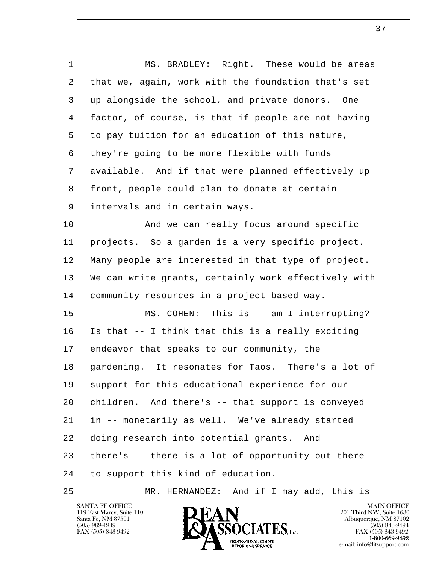l  $\overline{\phantom{a}}$ 1 | MS. BRADLEY: Right. These would be areas 2 that we, again, work with the foundation that's set 3 up alongside the school, and private donors. One 4 factor, of course, is that if people are not having 5 to pay tuition for an education of this nature, 6 they're going to be more flexible with funds 7 available. And if that were planned effectively up 8 front, people could plan to donate at certain 9 | intervals and in certain ways. 10 And we can really focus around specific 11 projects. So a garden is a very specific project. 12 Many people are interested in that type of project. 13 We can write grants, certainly work effectively with 14 community resources in a project-based way. 15 MS. COHEN: This is -- am I interrupting? 16 Is that -- I think that this is a really exciting 17 endeavor that speaks to our community, the 18 gardening. It resonates for Taos. There's a lot of 19 support for this educational experience for our 20 children. And there's -- that support is conveyed 21 in -- monetarily as well. We've already started 22 doing research into potential grants. And 23 there's -- there is a lot of opportunity out there 24 to support this kind of education. 25 MR. HERNANDEZ: And if I may add, this is

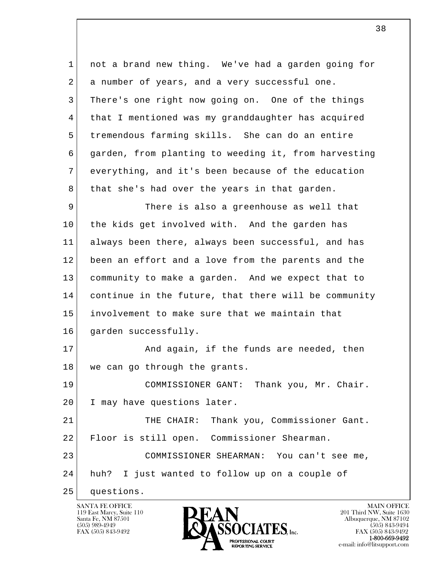l  $\overline{\phantom{a}}$  1 not a brand new thing. We've had a garden going for 2 a number of years, and a very successful one. 3 There's one right now going on. One of the things 4 that I mentioned was my granddaughter has acquired 5 tremendous farming skills. She can do an entire 6 garden, from planting to weeding it, from harvesting 7 everything, and it's been because of the education 8 that she's had over the years in that garden. 9 There is also a greenhouse as well that 10 the kids get involved with. And the garden has 11 always been there, always been successful, and has 12 been an effort and a love from the parents and the 13 community to make a garden. And we expect that to 14 continue in the future, that there will be community 15 involvement to make sure that we maintain that 16 garden successfully. 17 And again, if the funds are needed, then 18 we can go through the grants. 19 COMMISSIONER GANT: Thank you, Mr. Chair. 20 I may have questions later. 21 THE CHAIR: Thank you, Commissioner Gant. 22 Floor is still open. Commissioner Shearman. 23 COMMISSIONER SHEARMAN: You can't see me, 24 huh? I just wanted to follow up on a couple of 25 questions.

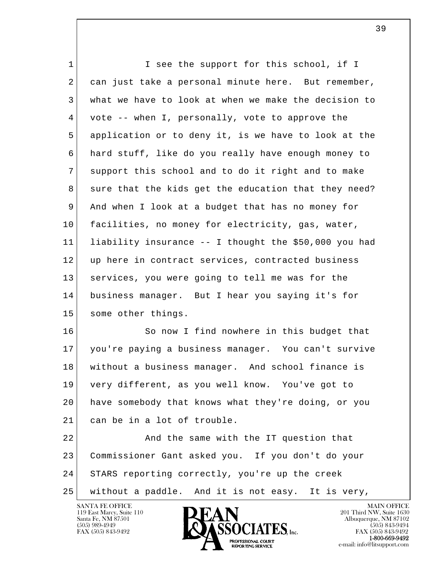| $\mathbf 1$ | I see the support for this school, if I               |
|-------------|-------------------------------------------------------|
| 2           | can just take a personal minute here. But remember,   |
| 3           | what we have to look at when we make the decision to  |
| 4           | vote -- when I, personally, vote to approve the       |
| 5           | application or to deny it, is we have to look at the  |
| 6           | hard stuff, like do you really have enough money to   |
| 7           | support this school and to do it right and to make    |
| 8           | sure that the kids get the education that they need?  |
| 9           | And when I look at a budget that has no money for     |
| 10          | facilities, no money for electricity, gas, water,     |
| 11          | liability insurance -- I thought the \$50,000 you had |
| 12          | up here in contract services, contracted business     |
| 13          | services, you were going to tell me was for the       |
| 14          | business manager. But I hear you saying it's for      |
| 15          | some other things.                                    |
| 16          | So now I find nowhere in this budget that             |
| 17          | you're paying a business manager. You can't survive   |
| 18          | without a business manager. And school finance is     |
| 19          | very different, as you well know. You've got to       |
| 20          | have somebody that knows what they're doing, or you   |
| 21          | can be in a lot of trouble.                           |
| 22          | And the same with the IT question that                |
| 23          | Commissioner Gant asked you. If you don't do your     |
| 24          | STARS reporting correctly, you're up the creek        |
| 25          | without a paddle. And it is not easy. It is very,     |

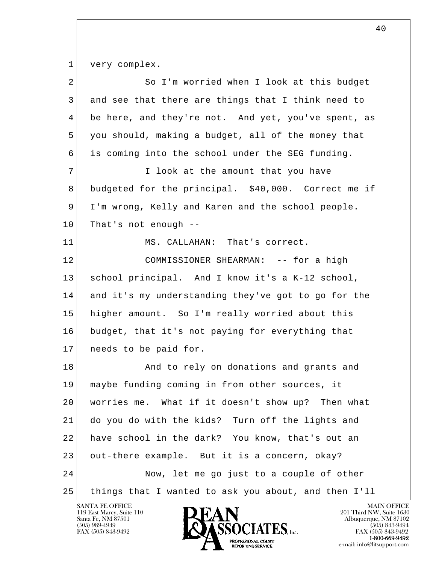1 very complex.

| 2  | So I'm worried when I look at this budget            |
|----|------------------------------------------------------|
| 3  | and see that there are things that I think need to   |
| 4  | be here, and they're not. And yet, you've spent, as  |
| 5  | you should, making a budget, all of the money that   |
| 6  | is coming into the school under the SEG funding.     |
| 7  | I look at the amount that you have                   |
| 8  | budgeted for the principal. \$40,000. Correct me if  |
| 9  | I'm wrong, Kelly and Karen and the school people.    |
| 10 | That's not enough --                                 |
| 11 | MS. CALLAHAN: That's correct.                        |
| 12 | COMMISSIONER SHEARMAN: -- for a high                 |
| 13 | school principal. And I know it's a K-12 school,     |
| 14 | and it's my understanding they've got to go for the  |
| 15 | higher amount. So I'm really worried about this      |
| 16 | budget, that it's not paying for everything that     |
| 17 | needs to be paid for.                                |
| 18 | And to rely on donations and grants and              |
| 19 | maybe funding coming in from other sources, it       |
| 20 | worries me. What if it doesn't show up? Then what    |
| 21 | do you do with the kids? Turn off the lights and     |
| 22 | have school in the dark? You know, that's out an     |
| 23 | out-there example. But it is a concern, okay?        |
| 24 | Now, let me go just to a couple of other             |
| 25 | things that I wanted to ask you about, and then I'll |

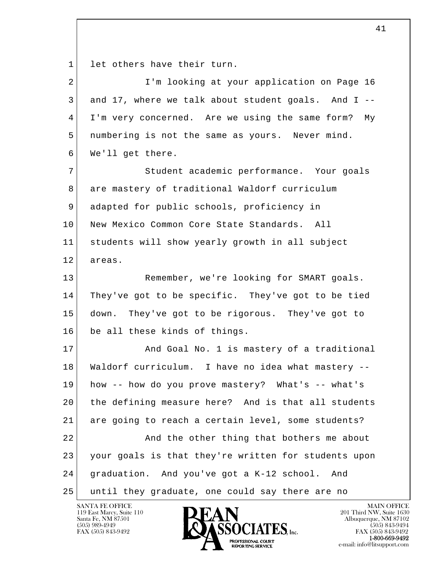1 let others have their turn.

| $\overline{a}$ | I'm looking at your application on Page 16           |
|----------------|------------------------------------------------------|
| 3              | and 17, where we talk about student goals. And I --  |
| 4              | I'm very concerned. Are we using the same form? My   |
| 5              | numbering is not the same as yours. Never mind.      |
| 6              | We'll get there.                                     |
| 7              | Student academic performance. Your goals             |
| 8              | are mastery of traditional Waldorf curriculum        |
| 9              | adapted for public schools, proficiency in           |
| 10             | New Mexico Common Core State Standards. All          |
| 11             | students will show yearly growth in all subject      |
| 12             | areas.                                               |
| 13             | Remember, we're looking for SMART goals.             |
| 14             | They've got to be specific. They've got to be tied   |
| 15             | down. They've got to be rigorous. They've got to     |
| 16             | be all these kinds of things.                        |
| 17             | And Goal No. 1 is mastery of a traditional           |
| 18             | Waldorf curriculum. I have no idea what mastery --   |
| 19             | how -- how do you prove mastery? What's -- what's    |
| 20             | the defining measure here? And is that all students  |
| 21             | are going to reach a certain level, some students?   |
| 22             | And the other thing that bothers me about            |
| 23             | your goals is that they're written for students upon |
| 24             | graduation. And you've got a K-12 school. And        |
| 25             | until they graduate, one could say there are no      |

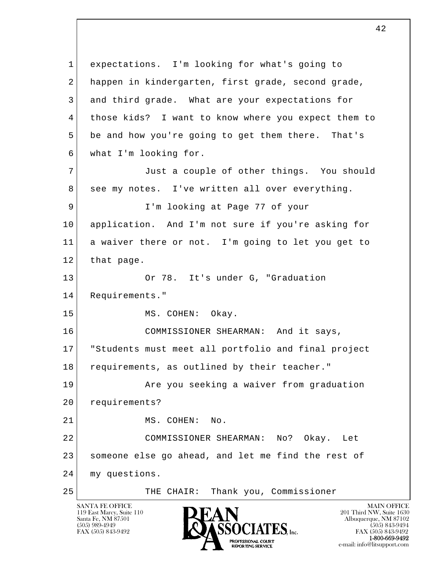l  $\overline{\phantom{a}}$  1 expectations. I'm looking for what's going to 2 happen in kindergarten, first grade, second grade, 3 and third grade. What are your expectations for 4 those kids? I want to know where you expect them to 5 be and how you're going to get them there. That's 6 what I'm looking for. 7 Just a couple of other things. You should 8 see my notes. I've written all over everything. 9 I'm looking at Page 77 of your 10 application. And I'm not sure if you're asking for 11 a waiver there or not. I'm going to let you get to 12 that page. 13 Or 78. It's under G, "Graduation 14 Requirements." 15 MS. COHEN: Okay. 16 COMMISSIONER SHEARMAN: And it says, 17 "Students must meet all portfolio and final project 18 requirements, as outlined by their teacher." 19 | The you seeking a waiver from graduation 20 requirements? 21 MS. COHEN: No. 22 COMMISSIONER SHEARMAN: No? Okay. Let 23 someone else go ahead, and let me find the rest of 24 my questions. 25 THE CHAIR: Thank you, Commissioner

119 East Marcy, Suite 110<br>Santa Fe, NM 87501

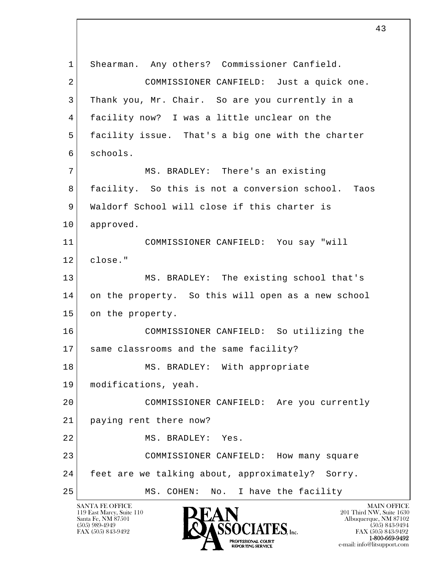l  $\overline{\phantom{a}}$  1 Shearman. Any others? Commissioner Canfield. 2 COMMISSIONER CANFIELD: Just a quick one. 3 Thank you, Mr. Chair. So are you currently in a 4 facility now? I was a little unclear on the 5 facility issue. That's a big one with the charter 6 schools. 7 MS. BRADLEY: There's an existing 8 facility. So this is not a conversion school. Taos 9 Waldorf School will close if this charter is 10 approved. 11 COMMISSIONER CANFIELD: You say "will 12 close." 13 MS. BRADLEY: The existing school that's 14 on the property. So this will open as a new school 15 on the property. 16 COMMISSIONER CANFIELD: So utilizing the 17 same classrooms and the same facility? 18 MS. BRADLEY: With appropriate 19 | modifications, yeah. 20 COMMISSIONER CANFIELD: Are you currently 21 paying rent there now? 22 MS. BRADLEY: Yes. 23 COMMISSIONER CANFIELD: How many square 24 feet are we talking about, approximately? Sorry. 25 MS. COHEN: No. I have the facility

43

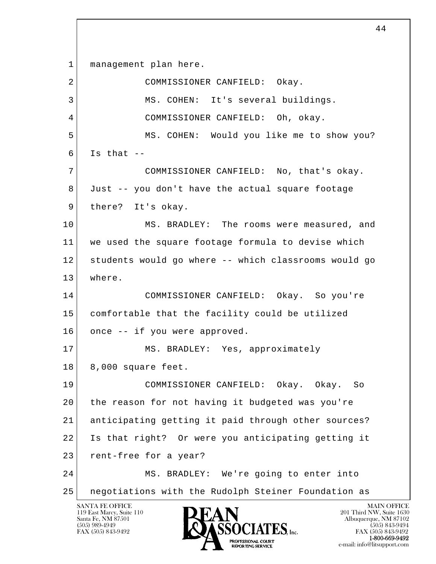l  $\overline{\phantom{a}}$ 1 | management plan here. 2 COMMISSIONER CANFIELD: Okay. 3 | MS. COHEN: It's several buildings. 4 COMMISSIONER CANFIELD: Oh, okay. 5 MS. COHEN: Would you like me to show you?  $6$  Is that  $-$  7 COMMISSIONER CANFIELD: No, that's okay. 8 Just -- you don't have the actual square footage 9 there? It's okay. 10 MS. BRADLEY: The rooms were measured, and 11 we used the square footage formula to devise which 12 students would go where -- which classrooms would go 13 where. 14 COMMISSIONER CANFIELD: Okay. So you're 15 comfortable that the facility could be utilized 16 once -- if you were approved. 17 MS. BRADLEY: Yes, approximately 18 8,000 square feet. 19 COMMISSIONER CANFIELD: Okay. Okay. So 20 the reason for not having it budgeted was you're 21 anticipating getting it paid through other sources? 22 Is that right? Or were you anticipating getting it 23 rent-free for a year? 24 MS. BRADLEY: We're going to enter into 25 negotiations with the Rudolph Steiner Foundation as

119 East Marcy, Suite 110<br>Santa Fe, NM 87501

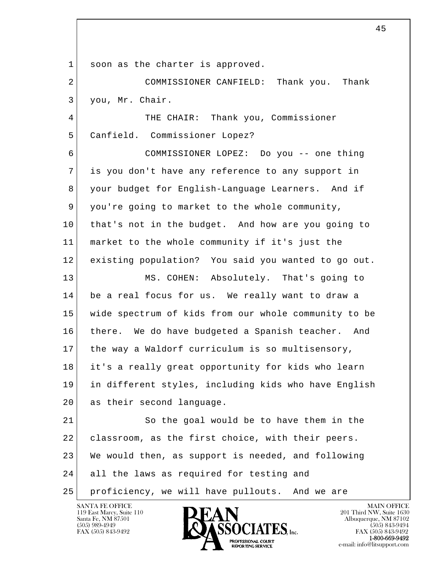1 soon as the charter is approved.

 2 COMMISSIONER CANFIELD: Thank you. Thank 3 you, Mr. Chair.

4 THE CHAIR: Thank you, Commissioner 5 Canfield. Commissioner Lopez?

 6 COMMISSIONER LOPEZ: Do you -- one thing 7 is you don't have any reference to any support in 8 your budget for English-Language Learners. And if 9 you're going to market to the whole community, 10 that's not in the budget. And how are you going to 11 market to the whole community if it's just the 12 existing population? You said you wanted to go out.

 13 MS. COHEN: Absolutely. That's going to 14 be a real focus for us. We really want to draw a 15 wide spectrum of kids from our whole community to be 16 | there. We do have budgeted a Spanish teacher. And 17 the way a Waldorf curriculum is so multisensory, 18 it's a really great opportunity for kids who learn 19 in different styles, including kids who have English 20 as their second language.

l  $\overline{\phantom{a}}$ 21 So the goal would be to have them in the 22 classroom, as the first choice, with their peers. 23 We would then, as support is needed, and following 24 all the laws as required for testing and 25 proficiency, we will have pullouts. And we are

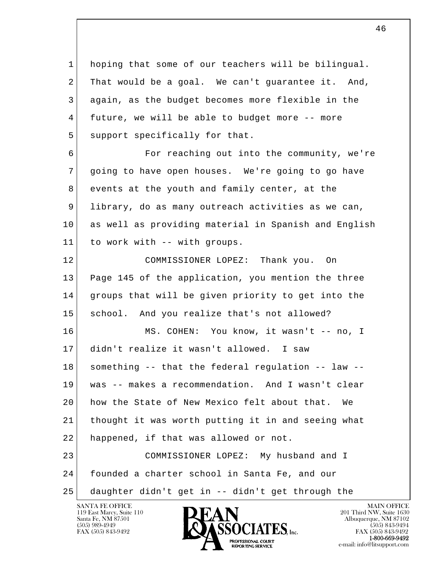l  $\overline{\phantom{a}}$  1 hoping that some of our teachers will be bilingual. 2 That would be a goal. We can't guarantee it. And, 3 again, as the budget becomes more flexible in the 4 future, we will be able to budget more -- more 5 support specifically for that. 6 **For reaching out into the community, we're**  7 going to have open houses. We're going to go have 8 events at the youth and family center, at the 9 library, do as many outreach activities as we can, 10 as well as providing material in Spanish and English 11 to work with -- with groups. 12 COMMISSIONER LOPEZ: Thank you. On 13 Page 145 of the application, you mention the three 14 groups that will be given priority to get into the 15 school. And you realize that's not allowed? 16 MS. COHEN: You know, it wasn't -- no, I 17 didn't realize it wasn't allowed. I saw 18 something -- that the federal regulation -- law -- 19 was -- makes a recommendation. And I wasn't clear 20 how the State of New Mexico felt about that. We 21 thought it was worth putting it in and seeing what 22 happened, if that was allowed or not. 23 COMMISSIONER LOPEZ: My husband and I 24 founded a charter school in Santa Fe, and our 25 daughter didn't get in -- didn't get through the

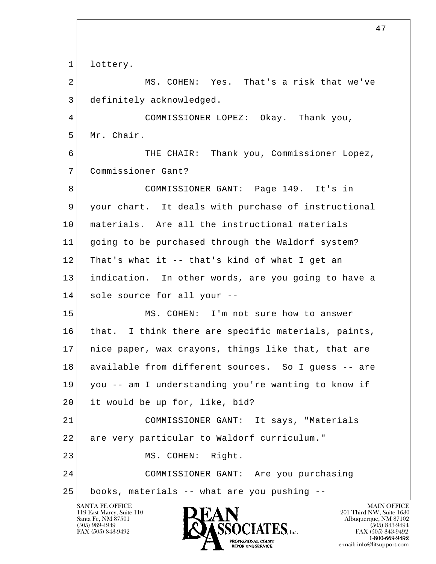l  $\overline{\phantom{a}}$ 1 lottery. 2 MS. COHEN: Yes. That's a risk that we've 3 definitely acknowledged. 4 COMMISSIONER LOPEZ: Okay. Thank you, 5 Mr. Chair. 6 THE CHAIR: Thank you, Commissioner Lopez, 7 Commissioner Gant? 8 COMMISSIONER GANT: Page 149. It's in 9 your chart. It deals with purchase of instructional 10 materials. Are all the instructional materials 11 going to be purchased through the Waldorf system?  $12$  That's what it -- that's kind of what I get an 13 indication. In other words, are you going to have a 14 sole source for all your -- 15 MS. COHEN: I'm not sure how to answer 16 that. I think there are specific materials, paints, 17 nice paper, wax crayons, things like that, that are 18 available from different sources. So I guess -- are 19 you -- am I understanding you're wanting to know if 20 it would be up for, like, bid? 21 COMMISSIONER GANT: It says, "Materials 22 are very particular to Waldorf curriculum." 23 MS. COHEN: Right. 24 COMMISSIONER GANT: Are you purchasing 25 books, materials -- what are you pushing --

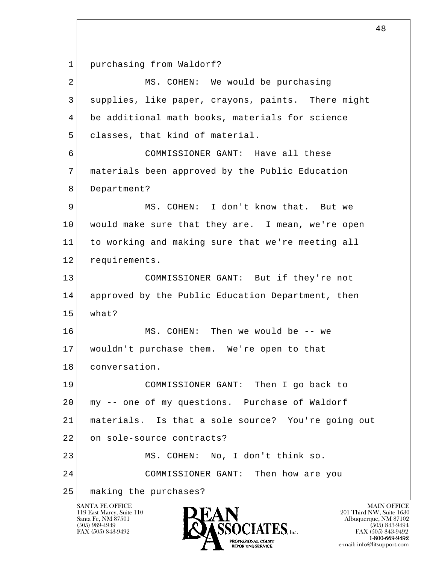1 purchasing from Waldorf?

| $\overline{2}$ | MS. COHEN: We would be purchasing                  |
|----------------|----------------------------------------------------|
| 3              | supplies, like paper, crayons, paints. There might |
| 4              | be additional math books, materials for science    |
| 5              | classes, that kind of material.                    |
| 6              | COMMISSIONER GANT: Have all these                  |
| 7              | materials been approved by the Public Education    |
| 8              | Department?                                        |
| 9              | MS. COHEN: I don't know that. But we               |
| 10             | would make sure that they are. I mean, we're open  |
| 11             | to working and making sure that we're meeting all  |
| 12             | requirements.                                      |
| 13             | COMMISSIONER GANT: But if they're not              |
| 14             | approved by the Public Education Department, then  |
| 15             | what?                                              |
| 16             | MS. COHEN: Then we would be -- we                  |
| 17             | wouldn't purchase them. We're open to that         |
| 18             | conversation.                                      |
| 19             | COMMISSIONER GANT: Then I go back to               |
| 20             | my -- one of my questions. Purchase of Waldorf     |
| 21             | materials. Is that a sole source? You're going out |
| 22             | on sole-source contracts?                          |
| 23             | MS. COHEN: No, I don't think so.                   |
| 24             | COMMISSIONER GANT: Then how are you                |
| 25             | making the purchases?                              |

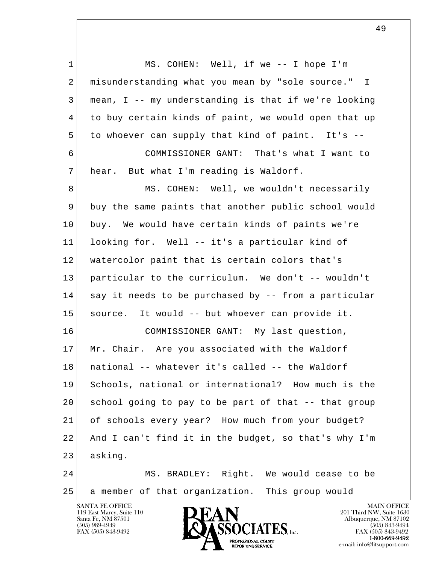l  $\overline{\phantom{a}}$ 1 MS. COHEN: Well, if we -- I hope I'm 2 misunderstanding what you mean by "sole source." I 3 mean, I -- my understanding is that if we're looking 4 to buy certain kinds of paint, we would open that up 5 to whoever can supply that kind of paint. It's -- 6 COMMISSIONER GANT: That's what I want to 7 hear. But what I'm reading is Waldorf. 8 MS. COHEN: Well, we wouldn't necessarily 9 buy the same paints that another public school would 10 buy. We would have certain kinds of paints we're 11 looking for. Well -- it's a particular kind of 12 watercolor paint that is certain colors that's 13 particular to the curriculum. We don't -- wouldn't 14 say it needs to be purchased by -- from a particular 15 source. It would -- but whoever can provide it. 16 COMMISSIONER GANT: My last question, 17 Mr. Chair. Are you associated with the Waldorf 18 national -- whatever it's called -- the Waldorf 19 Schools, national or international? How much is the 20 school going to pay to be part of that -- that group 21 of schools every year? How much from your budget? 22 And I can't find it in the budget, so that's why I'm 23 asking. 24 MS. BRADLEY: Right. We would cease to be 25 a member of that organization. This group would

119 East Marcy, Suite 110<br>Santa Fe, NM 87501

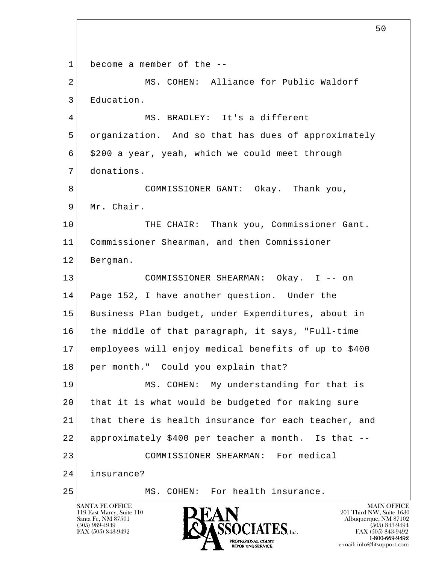l  $\overline{\phantom{a}}$ SANTA FE OFFICE MAIN OFFICE MAIN OFFICE MAIN OFFICE MAIN OFFICE 1 become a member of the -- 2 MS. COHEN: Alliance for Public Waldorf 3 Education. 4 | MS. BRADLEY: It's a different 5 organization. And so that has dues of approximately  $6$  \$200 a year, yeah, which we could meet through 7 donations. 8 COMMISSIONER GANT: Okay. Thank you, 9 Mr. Chair. 10 THE CHAIR: Thank you, Commissioner Gant. 11 Commissioner Shearman, and then Commissioner 12 Bergman. 13 COMMISSIONER SHEARMAN: Okay. I -- on 14 Page 152, I have another question. Under the 15 Business Plan budget, under Expenditures, about in 16 the middle of that paragraph, it says, "Full-time 17 employees will enjoy medical benefits of up to \$400 18 per month." Could you explain that? 19 MS. COHEN: My understanding for that is 20 that it is what would be budgeted for making sure 21 that there is health insurance for each teacher, and 22 approximately \$400 per teacher a month. Is that -- 23 COMMISSIONER SHEARMAN: For medical 24 insurance? 25 MS. COHEN: For health insurance.

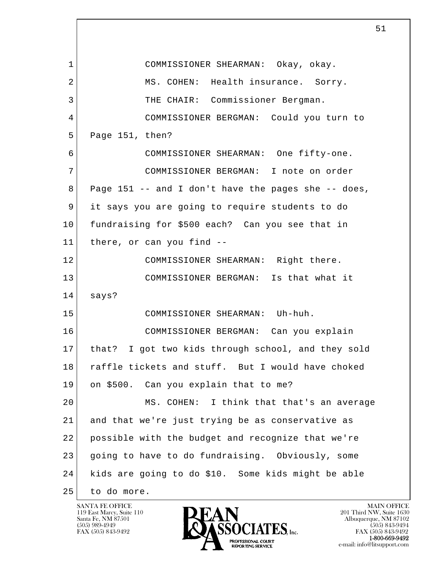l  $\overline{\phantom{a}}$  1 COMMISSIONER SHEARMAN: Okay, okay. 2 MS. COHEN: Health insurance. Sorry. 3 THE CHAIR: Commissioner Bergman. 4 COMMISSIONER BERGMAN: Could you turn to 5 Page 151, then? 6 COMMISSIONER SHEARMAN: One fifty-one. 7 COMMISSIONER BERGMAN: I note on order  $8$  Page 151 -- and I don't have the pages she -- does, 9 it says you are going to require students to do 10 fundraising for \$500 each? Can you see that in 11 there, or can you find -- 12 COMMISSIONER SHEARMAN: Right there. 13 COMMISSIONER BERGMAN: Is that what it 14 says? 15 COMMISSIONER SHEARMAN: Uh-huh. 16 COMMISSIONER BERGMAN: Can you explain 17 that? I got two kids through school, and they sold 18 raffle tickets and stuff. But I would have choked 19 on \$500. Can you explain that to me? 20 MS. COHEN: I think that that's an average 21 and that we're just trying be as conservative as 22 possible with the budget and recognize that we're 23 going to have to do fundraising. Obviously, some 24 kids are going to do \$10. Some kids might be able 25 to do more.

119 East Marcy, Suite 110<br>Santa Fe, NM 87501

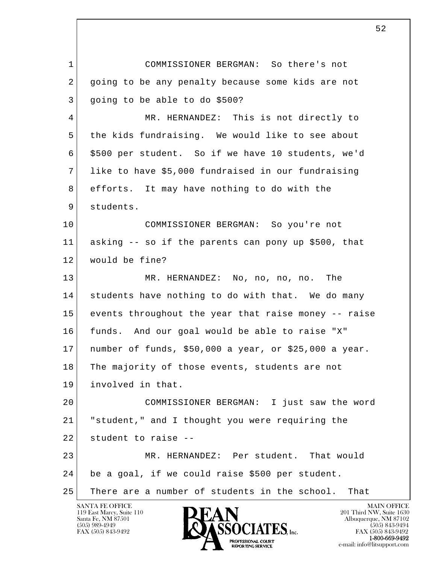l  $\overline{\phantom{a}}$  1 COMMISSIONER BERGMAN: So there's not 2 going to be any penalty because some kids are not 3 going to be able to do \$500? 4 MR. HERNANDEZ: This is not directly to 5 the kids fundraising. We would like to see about 6 \$500 per student. So if we have 10 students, we'd 7 like to have \$5,000 fundraised in our fundraising 8 efforts. It may have nothing to do with the 9 students. 10 COMMISSIONER BERGMAN: So you're not 11 asking -- so if the parents can pony up \$500, that 12 would be fine? 13 MR. HERNANDEZ: No, no, no, no. The 14 students have nothing to do with that. We do many 15 events throughout the year that raise money -- raise 16 funds. And our goal would be able to raise "X" 17 number of funds, \$50,000 a year, or \$25,000 a year. 18 The majority of those events, students are not 19 involved in that. 20 COMMISSIONER BERGMAN: I just saw the word 21 "student," and I thought you were requiring the  $22$  student to raise  $-$  23 MR. HERNANDEZ: Per student. That would 24 be a goal, if we could raise \$500 per student. 25 There are a number of students in the school. That

119 East Marcy, Suite 110<br>Santa Fe, NM 87501

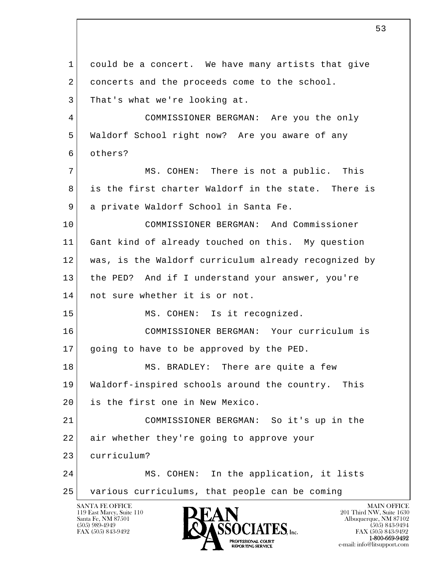l  $\overline{\phantom{a}}$ SANTA FE OFFICE MAIN OFFICE MAIN OFFICE MAIN OFFICE MAIN OFFICE 1 could be a concert. We have many artists that give 2 concerts and the proceeds come to the school. 3 That's what we're looking at. 4 COMMISSIONER BERGMAN: Are you the only 5 Waldorf School right now? Are you aware of any 6 others? 7 MS. COHEN: There is not a public. This 8 is the first charter Waldorf in the state. There is 9 a private Waldorf School in Santa Fe. 10 COMMISSIONER BERGMAN: And Commissioner 11 Gant kind of already touched on this. My question 12 was, is the Waldorf curriculum already recognized by 13 the PED? And if I understand your answer, you're 14 not sure whether it is or not. 15 MS. COHEN: Is it recognized. 16 COMMISSIONER BERGMAN: Your curriculum is 17 | going to have to be approved by the PED. 18 MS. BRADLEY: There are quite a few 19 Waldorf-inspired schools around the country. This 20 is the first one in New Mexico. 21 COMMISSIONER BERGMAN: So it's up in the 22 air whether they're going to approve your 23 curriculum? 24 MS. COHEN: In the application, it lists 25 various curriculums, that people can be coming

119 East Marcy, Suite 110<br>Santa Fe, NM 87501

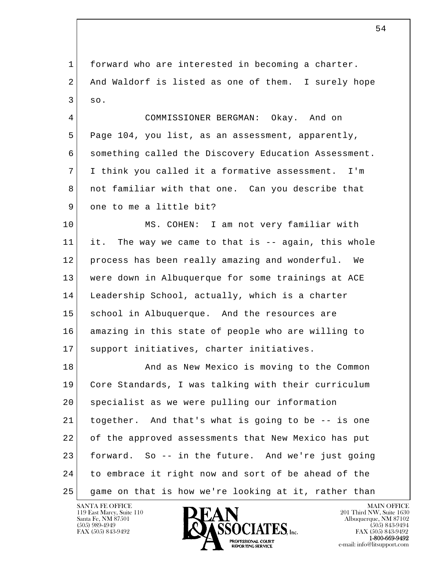1 forward who are interested in becoming a charter. 2 And Waldorf is listed as one of them. I surely hope 3 so.

 4 COMMISSIONER BERGMAN: Okay. And on 5 Page 104, you list, as an assessment, apparently, 6 something called the Discovery Education Assessment. 7 I think you called it a formative assessment. I'm 8 not familiar with that one. Can you describe that 9 one to me a little bit?

 10 MS. COHEN: I am not very familiar with 11 it. The way we came to that is -- again, this whole 12 process has been really amazing and wonderful. We 13 were down in Albuquerque for some trainings at ACE 14 Leadership School, actually, which is a charter 15 school in Albuquerque. And the resources are 16 amazing in this state of people who are willing to 17 | support initiatives, charter initiatives.

l  $\overline{\phantom{a}}$ 18 And as New Mexico is moving to the Common 19 Core Standards, I was talking with their curriculum 20 specialist as we were pulling our information 21 together. And that's what is going to be -- is one 22 of the approved assessments that New Mexico has put 23 forward. So -- in the future. And we're just going 24 to embrace it right now and sort of be ahead of the 25 game on that is how we're looking at it, rather than

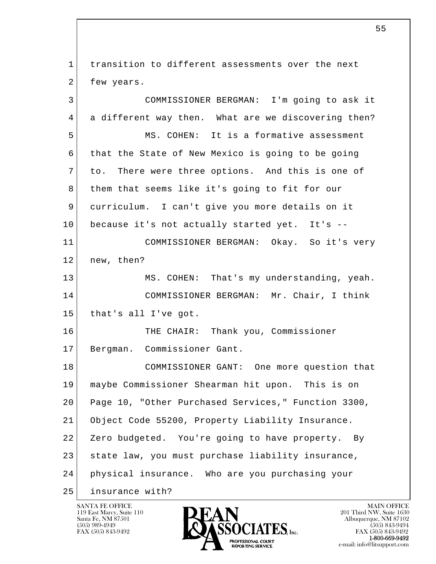l  $\overline{\phantom{a}}$  1 transition to different assessments over the next 2 few years. 3 COMMISSIONER BERGMAN: I'm going to ask it 4 a different way then. What are we discovering then? 5 MS. COHEN: It is a formative assessment 6 that the State of New Mexico is going to be going 7 to. There were three options. And this is one of 8 them that seems like it's going to fit for our 9 curriculum. I can't give you more details on it 10 | because it's not actually started yet. It's -- 11 COMMISSIONER BERGMAN: Okay. So it's very 12 new, then? 13 MS. COHEN: That's my understanding, yeah. 14 COMMISSIONER BERGMAN: Mr. Chair, I think 15 that's all I've got. 16 THE CHAIR: Thank you, Commissioner 17 Bergman. Commissioner Gant. 18 COMMISSIONER GANT: One more question that 19 maybe Commissioner Shearman hit upon. This is on 20 Page 10, "Other Purchased Services," Function 3300, 21 Object Code 55200, Property Liability Insurance. 22 Zero budgeted. You're going to have property. By 23 state law, you must purchase liability insurance, 24 physical insurance. Who are you purchasing your 25 insurance with?

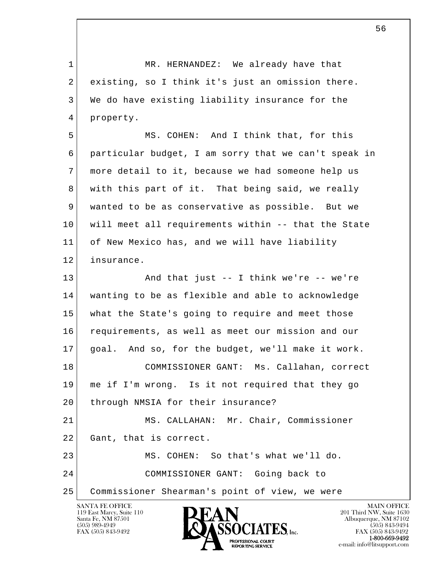l  $\overline{\phantom{a}}$ 1 MR. HERNANDEZ: We already have that 2 existing, so I think it's just an omission there. 3 We do have existing liability insurance for the 4 property. 5 MS. COHEN: And I think that, for this 6 particular budget, I am sorry that we can't speak in 7 more detail to it, because we had someone help us 8 with this part of it. That being said, we really 9 wanted to be as conservative as possible. But we 10 will meet all requirements within -- that the State 11 of New Mexico has, and we will have liability 12 insurance. 13 And that just -- I think we're -- we're 14 wanting to be as flexible and able to acknowledge 15 what the State's going to require and meet those 16 requirements, as well as meet our mission and our 17 goal. And so, for the budget, we'll make it work. 18 COMMISSIONER GANT: Ms. Callahan, correct 19 me if I'm wrong. Is it not required that they go 20 | through NMSIA for their insurance? 21 MS. CALLAHAN: Mr. Chair, Commissioner 22 Gant, that is correct. 23 MS. COHEN: So that's what we'll do. 24 COMMISSIONER GANT: Going back to 25 Commissioner Shearman's point of view, we were

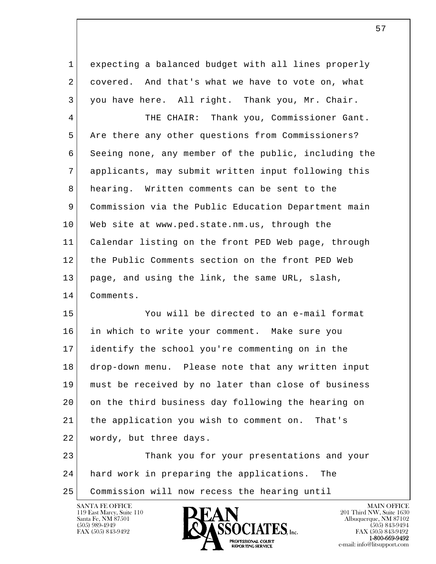1 expecting a balanced budget with all lines properly 2 covered. And that's what we have to vote on, what 3 you have here. All right. Thank you, Mr. Chair.

4 THE CHAIR: Thank you, Commissioner Gant. 5 Are there any other questions from Commissioners? 6 Seeing none, any member of the public, including the 7 applicants, may submit written input following this 8 hearing. Written comments can be sent to the 9 Commission via the Public Education Department main 10 Web site at www.ped.state.nm.us, through the 11 Calendar listing on the front PED Web page, through 12 the Public Comments section on the front PED Web 13 page, and using the link, the same URL, slash, 14 Comments.

 15 You will be directed to an e-mail format 16 in which to write your comment. Make sure you 17 identify the school you're commenting on in the 18 drop-down menu. Please note that any written input 19 must be received by no later than close of business 20 on the third business day following the hearing on 21 the application you wish to comment on. That's 22 wordy, but three days.

l  $\overline{\phantom{a}}$  23 Thank you for your presentations and your 24 hard work in preparing the applications. The 25 Commission will now recess the hearing until

119 East Marcy, Suite 110<br>Santa Fe, NM 87501



 $\sim$  57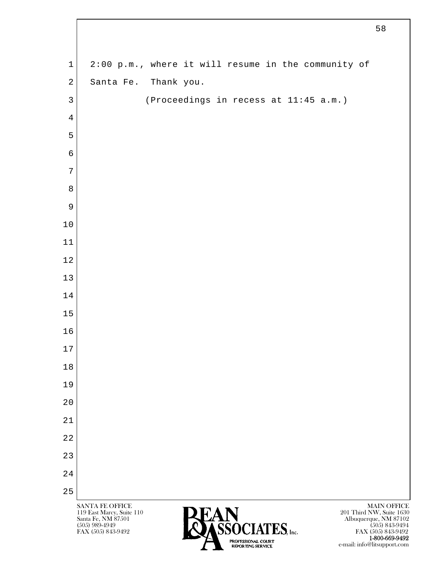| $\mathbf 1$    | 2:00 p.m., where it will resume in the community of |                    |
|----------------|-----------------------------------------------------|--------------------|
| $\overline{2}$ | Santa Fe. Thank you.                                |                    |
| $\mathfrak{Z}$ | (Proceedings in recess at 11:45 a.m.)               |                    |
| $\overline{4}$ |                                                     |                    |
| 5              |                                                     |                    |
| $\sqrt{6}$     |                                                     |                    |
| 7              |                                                     |                    |
| $\,8\,$        |                                                     |                    |
| 9              |                                                     |                    |
| 10             |                                                     |                    |
| 11             |                                                     |                    |
| 12             |                                                     |                    |
| 13             |                                                     |                    |
| 14             |                                                     |                    |
| 15             |                                                     |                    |
| 16             |                                                     |                    |
| $17$           |                                                     |                    |
| 18             |                                                     |                    |
| 19             |                                                     |                    |
| 20             |                                                     |                    |
| 21             |                                                     |                    |
| 22             |                                                     |                    |
| 23             |                                                     |                    |
| 24             |                                                     |                    |
| 25             | SANTA FE OFFICE                                     | <b>MAIN OFFICE</b> |

 $\lceil$ 

**1-800-669-9492**<br> **EXALTERIONAL CN BT** e-mail: info@litsupport.com